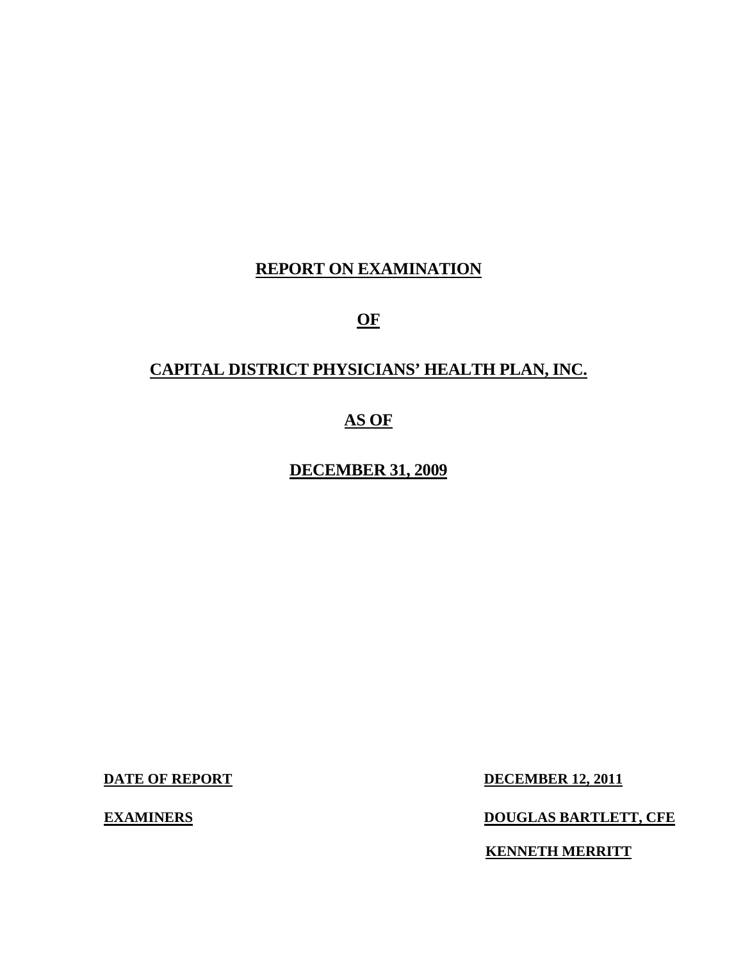# **REPORT ON EXAMINATION**

**OF** 

## **CAPITAL DISTRICT PHYSICIANS' HEALTH PLAN, INC.**

## **AS OF**

**DECEMBER 31, 2009** 

**EXAMINERS** 

**DATE OF REPORT DECEMBER 12, 2011** 

**EXAMPLE BARTLETT, CFE** 

**KENNETH MERRITT**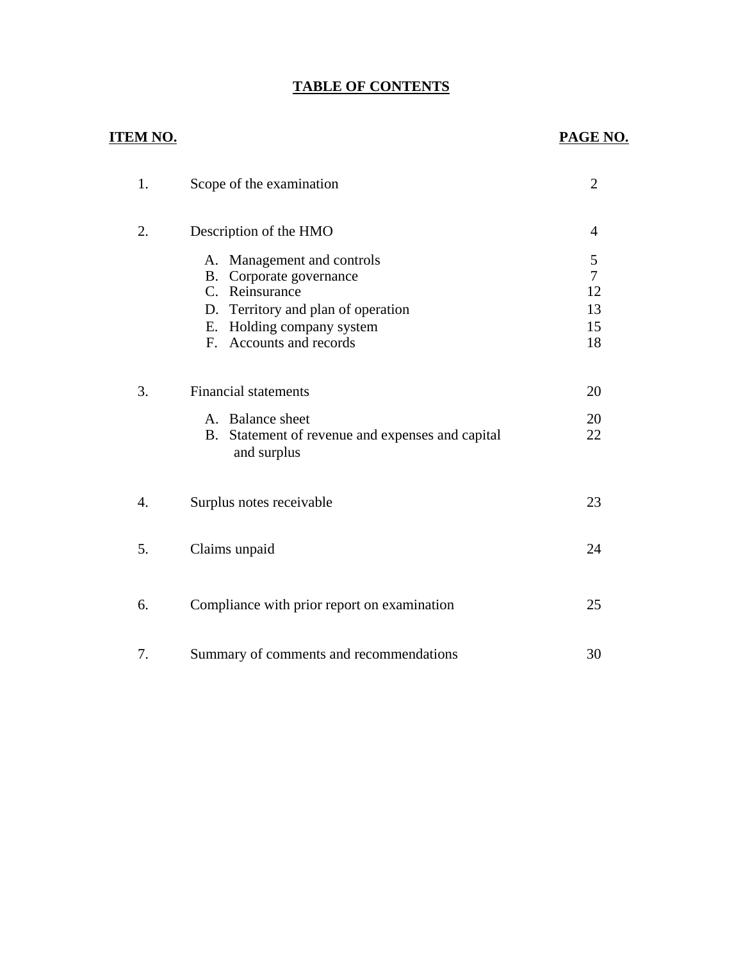## **TABLE OF CONTENTS**

## **ITEM NO.**

## **PAGE NO.**

| 1. | Scope of the examination                                                                                                                                              | $\overline{2}$                              |
|----|-----------------------------------------------------------------------------------------------------------------------------------------------------------------------|---------------------------------------------|
| 2. | Description of the HMO                                                                                                                                                | $\overline{4}$                              |
|    | A. Management and controls<br>B. Corporate governance<br>C. Reinsurance<br>D. Territory and plan of operation<br>E. Holding company system<br>F. Accounts and records | 5<br>$\overline{7}$<br>12<br>13<br>15<br>18 |
| 3. | <b>Financial statements</b><br>A. Balance sheet<br>B. Statement of revenue and expenses and capital<br>and surplus                                                    | 20<br>20<br>22                              |
| 4. | Surplus notes receivable                                                                                                                                              | 23                                          |
| 5. | Claims unpaid                                                                                                                                                         | 24                                          |
| 6. | Compliance with prior report on examination                                                                                                                           | 25                                          |
| 7. | Summary of comments and recommendations                                                                                                                               | 30                                          |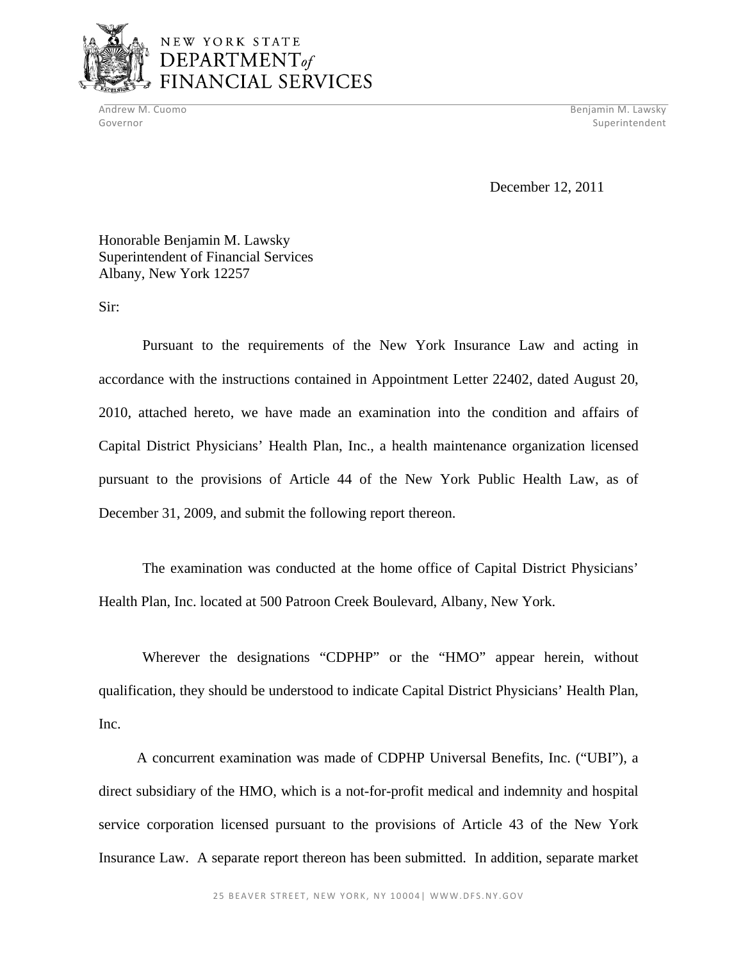

Andrew M. Cuomo Benjamin M. Lawsky Governor Superintendent Superintendent Superintendent Superintendent Superintendent Superintendent Superintendent

December 12, 2011

Honorable Benjamin M. Lawsky Superintendent of Financial Services Albany, New York 12257

Sir:

Pursuant to the requirements of the New York Insurance Law and acting in accordance with the instructions contained in Appointment Letter 22402, dated August 20, 2010, attached hereto, we have made an examination into the condition and affairs of Capital District Physicians' Health Plan, Inc., a health maintenance organization licensed pursuant to the provisions of Article 44 of the New York Public Health Law, as of December 31, 2009, and submit the following report thereon.

The examination was conducted at the home office of Capital District Physicians' Health Plan, Inc. located at 500 Patroon Creek Boulevard, Albany, New York.

Wherever the designations "CDPHP" or the "HMO" appear herein, without qualification, they should be understood to indicate Capital District Physicians' Health Plan, Inc.

A concurrent examination was made of CDPHP Universal Benefits, Inc. ("UBI"), a direct subsidiary of the HMO, which is a not-for-profit medical and indemnity and hospital service corporation licensed pursuant to the provisions of Article 43 of the New York Insurance Law. A separate report thereon has been submitted. In addition, separate market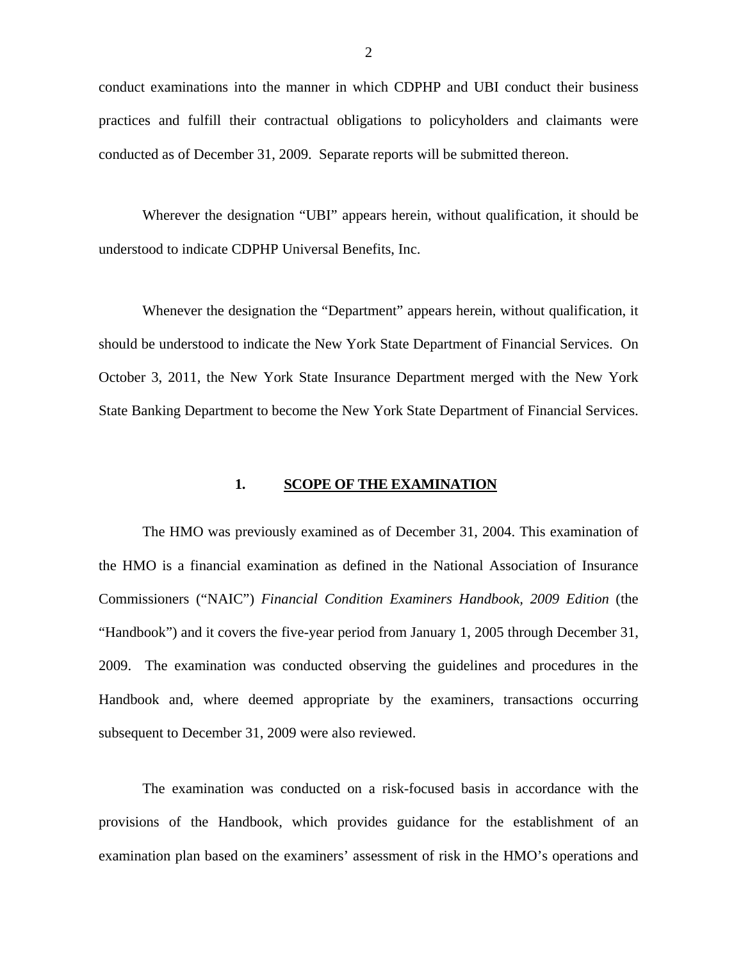conduct examinations into the manner in which CDPHP and UBI conduct their business practices and fulfill their contractual obligations to policyholders and claimants were conducted as of December 31, 2009. Separate reports will be submitted thereon.

Wherever the designation "UBI" appears herein, without qualification, it should be understood to indicate CDPHP Universal Benefits, Inc.

Whenever the designation the "Department" appears herein, without qualification, it should be understood to indicate the New York State Department of Financial Services. On October 3, 2011, the New York State Insurance Department merged with the New York State Banking Department to become the New York State Department of Financial Services.

#### **1. SCOPE OF THE EXAMINATION**

The HMO was previously examined as of December 31, 2004. This examination of the HMO is a financial examination as defined in the National Association of Insurance Commissioners ("NAIC") *Financial Condition Examiners Handbook, 2009 Edition* (the "Handbook") and it covers the five-year period from January 1, 2005 through December 31, 2009. The examination was conducted observing the guidelines and procedures in the Handbook and, where deemed appropriate by the examiners, transactions occurring subsequent to December 31, 2009 were also reviewed.

The examination was conducted on a risk-focused basis in accordance with the provisions of the Handbook, which provides guidance for the establishment of an examination plan based on the examiners' assessment of risk in the HMO's operations and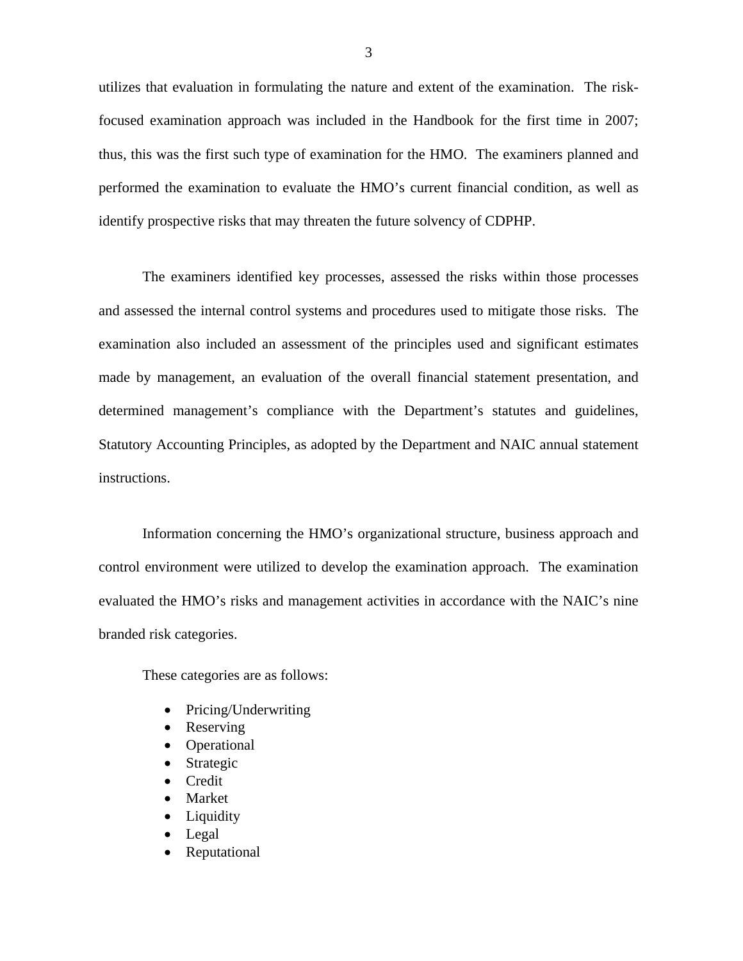utilizes that evaluation in formulating the nature and extent of the examination. The riskfocused examination approach was included in the Handbook for the first time in 2007; thus, this was the first such type of examination for the HMO. The examiners planned and performed the examination to evaluate the HMO's current financial condition, as well as identify prospective risks that may threaten the future solvency of CDPHP.

The examiners identified key processes, assessed the risks within those processes and assessed the internal control systems and procedures used to mitigate those risks. The examination also included an assessment of the principles used and significant estimates made by management, an evaluation of the overall financial statement presentation, and determined management's compliance with the Department's statutes and guidelines, Statutory Accounting Principles, as adopted by the Department and NAIC annual statement instructions.

Information concerning the HMO's organizational structure, business approach and control environment were utilized to develop the examination approach. The examination evaluated the HMO's risks and management activities in accordance with the NAIC's nine branded risk categories.

These categories are as follows:

- Pricing/Underwriting
- Reserving
- Operational
- Strategic
- Credit
- Market
- Liquidity
- Legal
- Reputational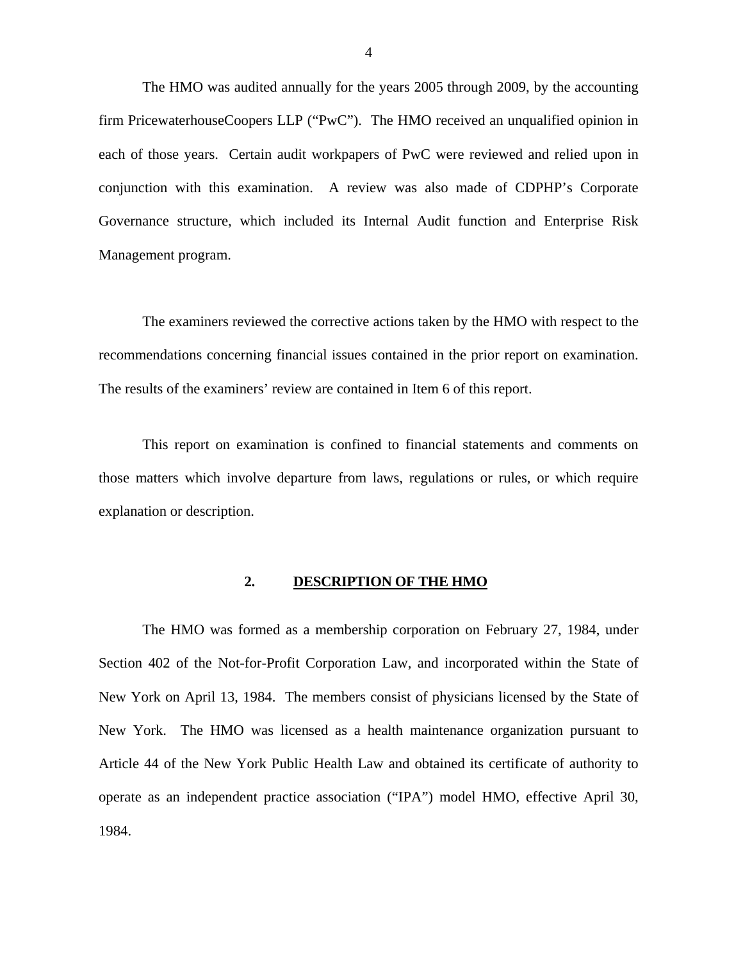The HMO was audited annually for the years 2005 through 2009, by the accounting firm PricewaterhouseCoopers LLP ("PwC"). The HMO received an unqualified opinion in each of those years. Certain audit workpapers of PwC were reviewed and relied upon in conjunction with this examination. A review was also made of CDPHP's Corporate Governance structure, which included its Internal Audit function and Enterprise Risk Management program.

The examiners reviewed the corrective actions taken by the HMO with respect to the recommendations concerning financial issues contained in the prior report on examination. The results of the examiners' review are contained in Item 6 of this report.

This report on examination is confined to financial statements and comments on those matters which involve departure from laws, regulations or rules, or which require explanation or description.

#### **2. DESCRIPTION OF THE HMO**

The HMO was formed as a membership corporation on February 27, 1984, under Section 402 of the Not-for-Profit Corporation Law, and incorporated within the State of New York on April 13, 1984. The members consist of physicians licensed by the State of New York. The HMO was licensed as a health maintenance organization pursuant to Article 44 of the New York Public Health Law and obtained its certificate of authority to operate as an independent practice association ("IPA") model HMO, effective April 30, 1984.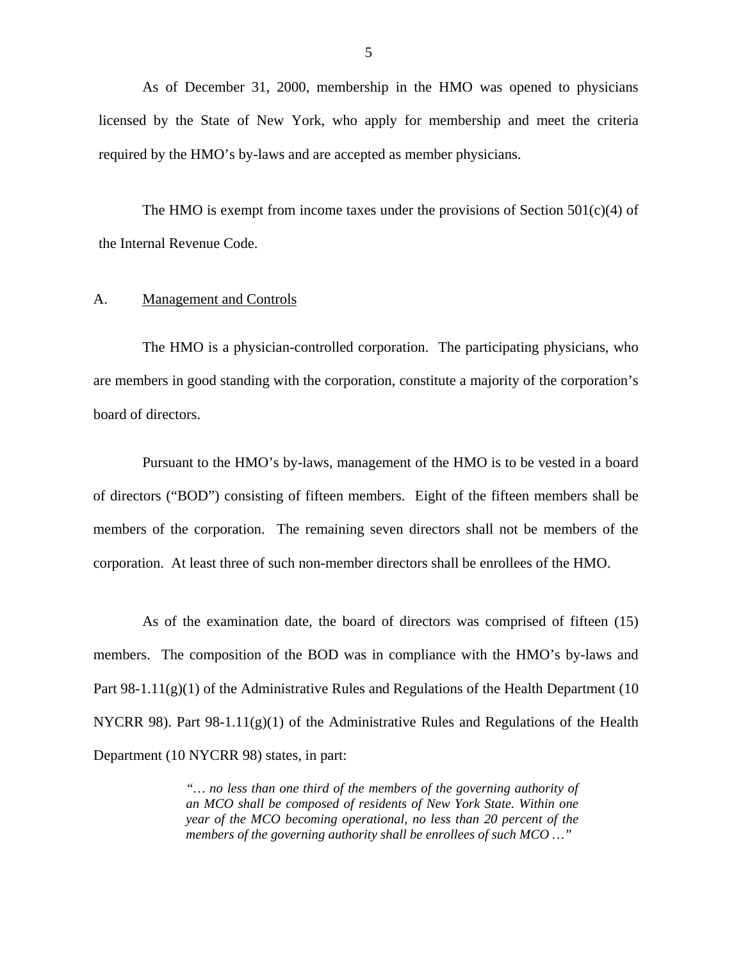<span id="page-6-0"></span>As of December 31, 2000, membership in the HMO was opened to physicians licensed by the State of New York, who apply for membership and meet the criteria required by the HMO's by-laws and are accepted as member physicians.

The HMO is exempt from income taxes under the provisions of Section  $501(c)(4)$  of the Internal Revenue Code.

#### A. Management and Controls

The HMO is a physician-controlled corporation. The participating physicians, who are members in good standing with the corporation, constitute a majority of the corporation's board of directors.

Pursuant to the HMO's by-laws, management of the HMO is to be vested in a board of directors ("BOD") consisting of fifteen members. Eight of the fifteen members shall be members of the corporation. The remaining seven directors shall not be members of the corporation. At least three of such non-member directors shall be enrollees of the HMO.

As of the examination date, the board of directors was comprised of fifteen (15) members. The composition of the BOD was in compliance with the HMO's by-laws and Part  $98-1.11(g)(1)$  of the Administrative Rules and Regulations of the Health Department (10 NYCRR 98). Part 98-1.11(g)(1) of the Administrative Rules and Regulations of the Health Department (10 NYCRR 98) states, in part:

> *"… no less than one third of the members of the governing authority of an MCO shall be composed of residents of New York State. Within one year of the MCO becoming operational, no less than 20 percent of the members of the governing authority shall be enrollees of such MCO …"*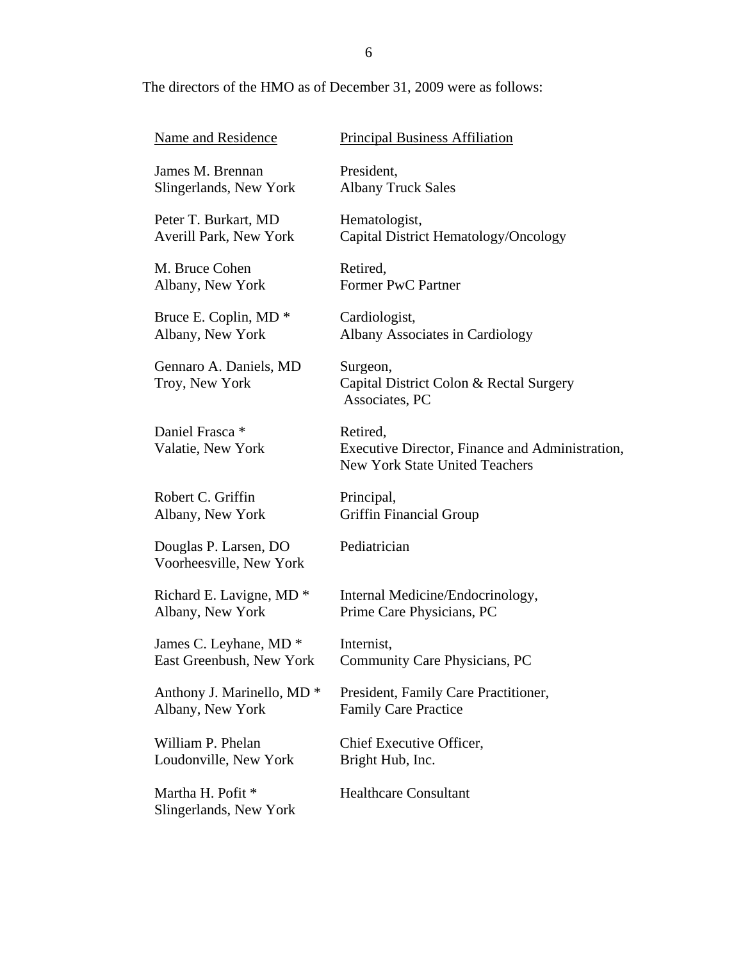## The directors of the HMO as of December 31, 2009 were as follows:

| <b>Name and Residence</b>                        | <b>Principal Business Affiliation</b>                                                                |
|--------------------------------------------------|------------------------------------------------------------------------------------------------------|
| James M. Brennan                                 | President,                                                                                           |
| Slingerlands, New York                           | <b>Albany Truck Sales</b>                                                                            |
| Peter T. Burkart, MD                             | Hematologist,                                                                                        |
| Averill Park, New York                           | Capital District Hematology/Oncology                                                                 |
| M. Bruce Cohen                                   | Retired,                                                                                             |
| Albany, New York                                 | <b>Former PwC Partner</b>                                                                            |
| Bruce E. Coplin, MD <sup>*</sup>                 | Cardiologist,                                                                                        |
| Albany, New York                                 | <b>Albany Associates in Cardiology</b>                                                               |
| Gennaro A. Daniels, MD<br>Troy, New York         | Surgeon,<br>Capital District Colon & Rectal Surgery<br>Associates, PC                                |
| Daniel Frasca <sup>*</sup><br>Valatie, New York  | Retired,<br>Executive Director, Finance and Administration,<br><b>New York State United Teachers</b> |
| Robert C. Griffin                                | Principal,                                                                                           |
| Albany, New York                                 | <b>Griffin Financial Group</b>                                                                       |
| Douglas P. Larsen, DO<br>Voorheesville, New York | Pediatrician                                                                                         |
| Richard E. Lavigne, MD <sup>*</sup>              | Internal Medicine/Endocrinology,                                                                     |
| Albany, New York                                 | Prime Care Physicians, PC                                                                            |
| James C. Leyhane, MD <sup>*</sup>                | Internist,                                                                                           |
| East Greenbush, New York                         | Community Care Physicians, PC                                                                        |
| Anthony J. Marinello, MD <sup>*</sup>            | President, Family Care Practitioner,                                                                 |
| Albany, New York                                 | <b>Family Care Practice</b>                                                                          |
| William P. Phelan                                | Chief Executive Officer,                                                                             |
| Loudonville, New York                            | Bright Hub, Inc.                                                                                     |
| Martha H. Pofit *<br>Slingerlands, New York      | <b>Healthcare Consultant</b>                                                                         |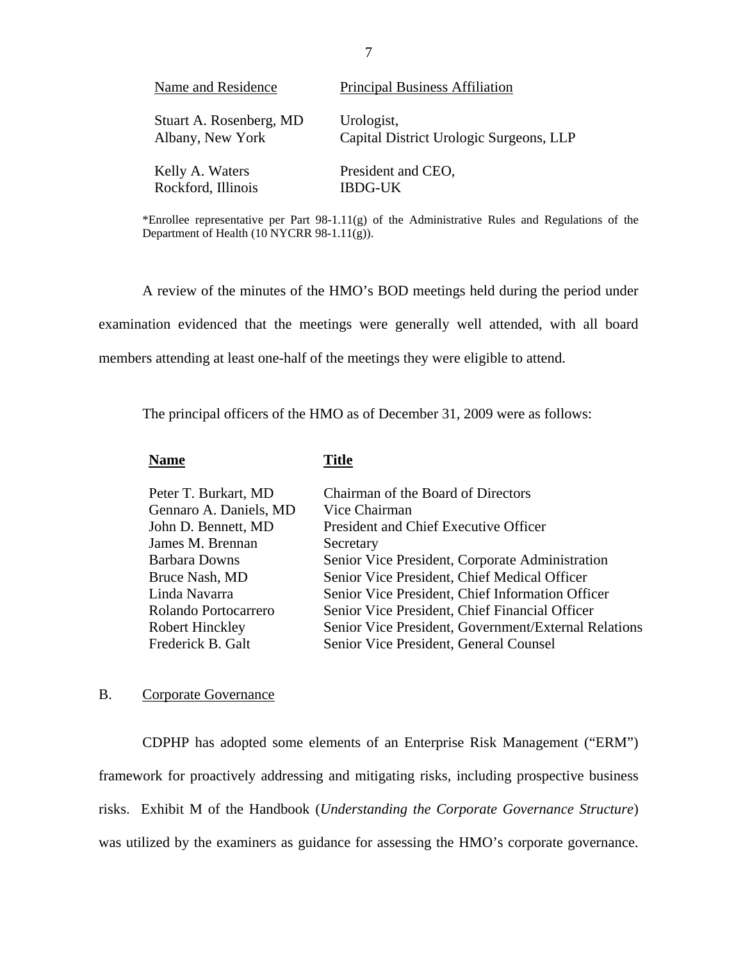| Name and Residence      | <b>Principal Business Affiliation</b>   |
|-------------------------|-----------------------------------------|
| Stuart A. Rosenberg, MD | Urologist,                              |
| Albany, New York        | Capital District Urologic Surgeons, LLP |
| Kelly A. Waters         | President and CEO,                      |
| Rockford, Illinois      | <b>IBDG-UK</b>                          |

\*Enrollee representative per Part  $98-1.11(g)$  of the Administrative Rules and Regulations of the Department of Health (10 NYCRR 98-1.11(g)).

A review of the minutes of the HMO's BOD meetings held during the period under examination evidenced that the meetings were generally well attended, with all board members attending at least one-half of the meetings they were eligible to attend.

The principal officers of the HMO as of December 31, 2009 were as follows:

#### **Name** Title

| Peter T. Burkart, MD<br>Gennaro A. Daniels, MD<br>John D. Bennett, MD<br>James M. Brennan<br><b>Barbara Downs</b><br>Bruce Nash, MD<br>Linda Navarra<br>Rolando Portocarrero<br>Robert Hinckley | Chairman of the Board of Directors<br>Vice Chairman<br>President and Chief Executive Officer<br>Secretary<br>Senior Vice President, Corporate Administration<br>Senior Vice President, Chief Medical Officer<br>Senior Vice President, Chief Information Officer<br>Senior Vice President, Chief Financial Officer<br>Senior Vice President, Government/External Relations |
|-------------------------------------------------------------------------------------------------------------------------------------------------------------------------------------------------|----------------------------------------------------------------------------------------------------------------------------------------------------------------------------------------------------------------------------------------------------------------------------------------------------------------------------------------------------------------------------|
| Frederick B. Galt                                                                                                                                                                               | Senior Vice President, General Counsel                                                                                                                                                                                                                                                                                                                                     |
|                                                                                                                                                                                                 |                                                                                                                                                                                                                                                                                                                                                                            |

#### B. Corporate Governance

CDPHP has adopted some elements of an Enterprise Risk Management ("ERM") framework for proactively addressing and mitigating risks, including prospective business risks. Exhibit M of the Handbook (*Understanding the Corporate Governance Structure*) was utilized by the examiners as guidance for assessing the HMO's corporate governance.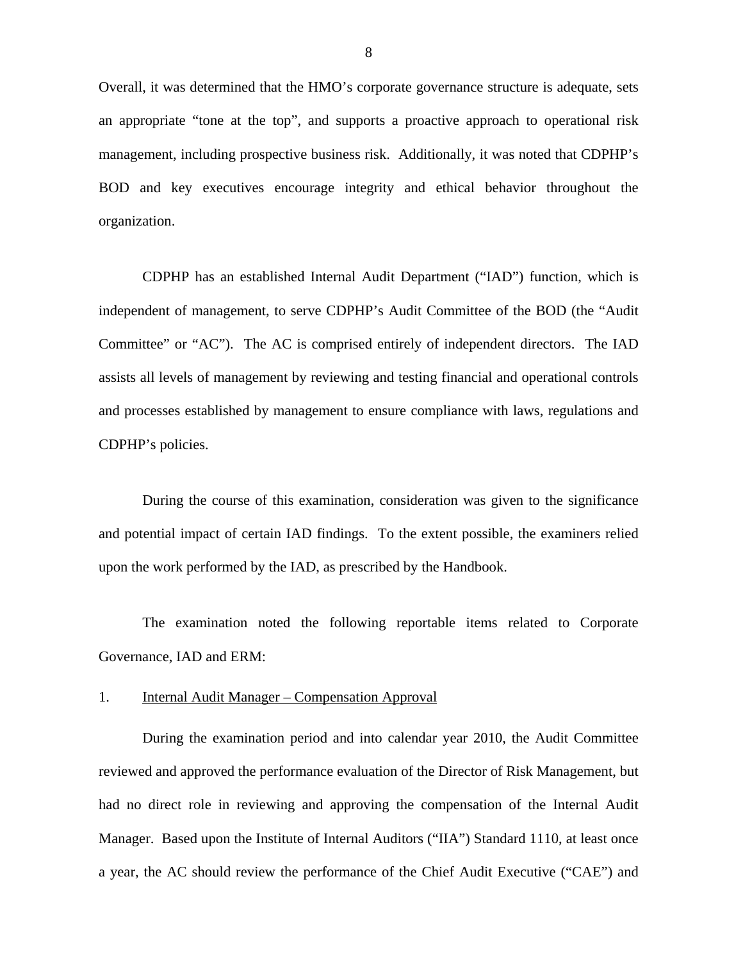Overall, it was determined that the HMO's corporate governance structure is adequate, sets an appropriate "tone at the top", and supports a proactive approach to operational risk management, including prospective business risk. Additionally, it was noted that CDPHP's BOD and key executives encourage integrity and ethical behavior throughout the organization.

CDPHP has an established Internal Audit Department ("IAD") function, which is independent of management, to serve CDPHP's Audit Committee of the BOD (the "Audit Committee" or "AC"). The AC is comprised entirely of independent directors. The IAD assists all levels of management by reviewing and testing financial and operational controls and processes established by management to ensure compliance with laws, regulations and CDPHP's policies.

During the course of this examination, consideration was given to the significance and potential impact of certain IAD findings. To the extent possible, the examiners relied upon the work performed by the IAD, as prescribed by the Handbook.

The examination noted the following reportable items related to Corporate Governance, IAD and ERM:

#### 1. Internal Audit Manager – Compensation Approval

During the examination period and into calendar year 2010, the Audit Committee reviewed and approved the performance evaluation of the Director of Risk Management, but had no direct role in reviewing and approving the compensation of the Internal Audit Manager. Based upon the Institute of Internal Auditors ("IIA") Standard 1110, at least once a year, the AC should review the performance of the Chief Audit Executive ("CAE") and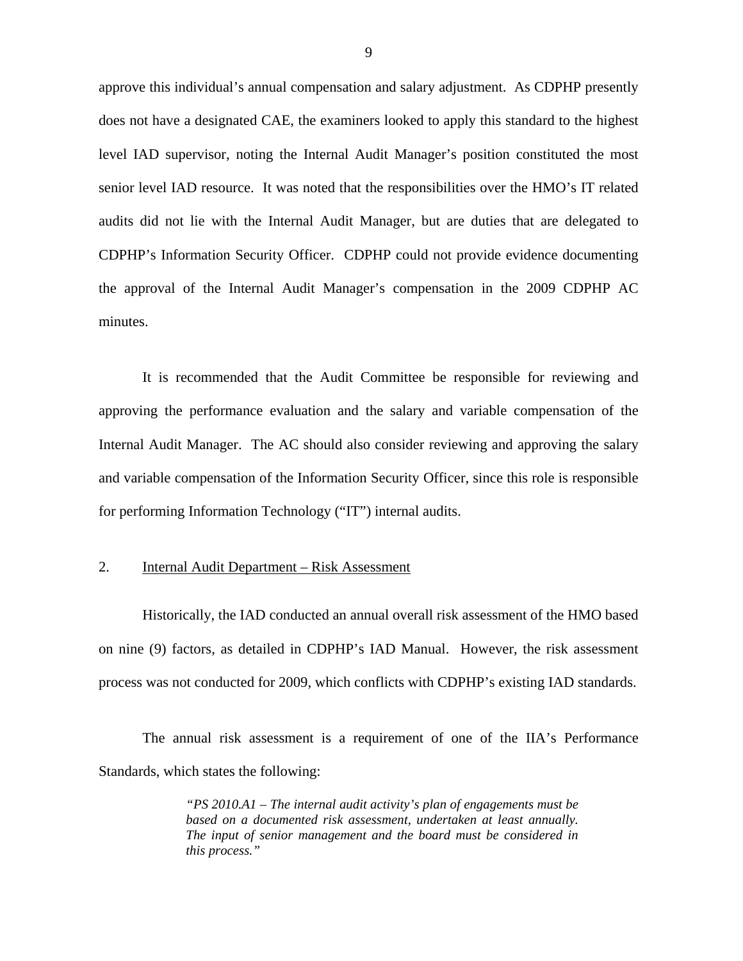approve this individual's annual compensation and salary adjustment. As CDPHP presently does not have a designated CAE, the examiners looked to apply this standard to the highest level IAD supervisor, noting the Internal Audit Manager's position constituted the most senior level IAD resource. It was noted that the responsibilities over the HMO's IT related audits did not lie with the Internal Audit Manager, but are duties that are delegated to CDPHP's Information Security Officer. CDPHP could not provide evidence documenting the approval of the Internal Audit Manager's compensation in the 2009 CDPHP AC minutes.

It is recommended that the Audit Committee be responsible for reviewing and approving the performance evaluation and the salary and variable compensation of the Internal Audit Manager. The AC should also consider reviewing and approving the salary and variable compensation of the Information Security Officer, since this role is responsible for performing Information Technology ("IT") internal audits.

#### 2. Internal Audit Department – Risk Assessment

Historically, the IAD conducted an annual overall risk assessment of the HMO based on nine (9) factors, as detailed in CDPHP's IAD Manual. However, the risk assessment process was not conducted for 2009, which conflicts with CDPHP's existing IAD standards.

The annual risk assessment is a requirement of one of the IIA's Performance Standards, which states the following:

> *"PS 2010.A1 – The internal audit activity's plan of engagements must be based on a documented risk assessment, undertaken at least annually. The input of senior management and the board must be considered in this process."*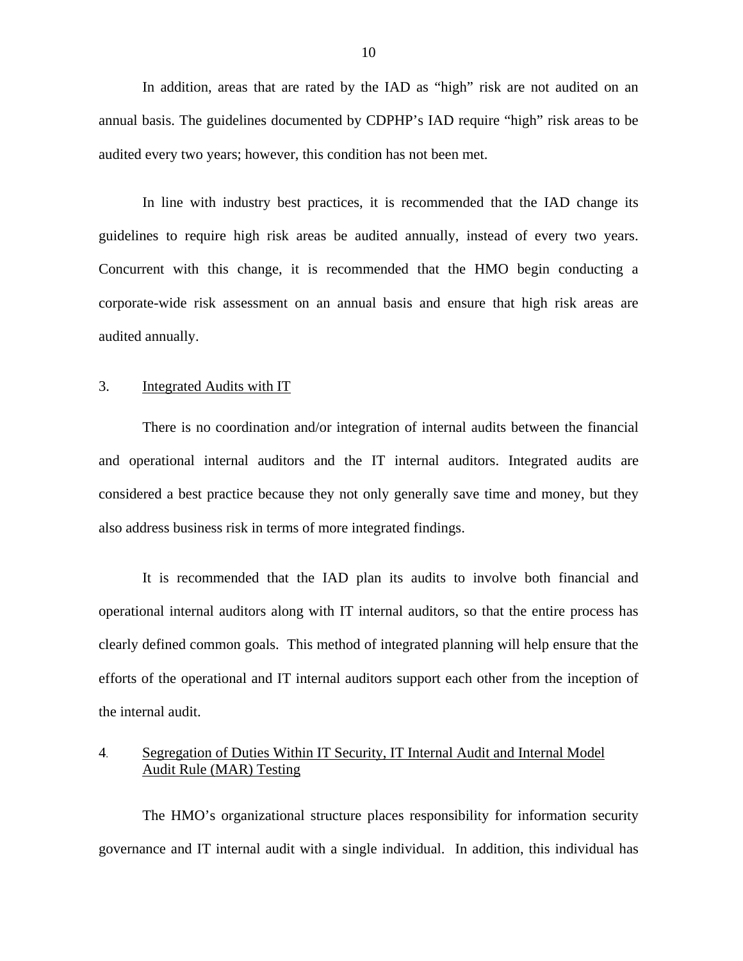In addition, areas that are rated by the IAD as "high" risk are not audited on an annual basis. The guidelines documented by CDPHP's IAD require "high" risk areas to be audited every two years; however, this condition has not been met.

In line with industry best practices, it is recommended that the IAD change its guidelines to require high risk areas be audited annually, instead of every two years. Concurrent with this change, it is recommended that the HMO begin conducting a corporate-wide risk assessment on an annual basis and ensure that high risk areas are audited annually.

#### 3. Integrated Audits with IT

There is no coordination and/or integration of internal audits between the financial and operational internal auditors and the IT internal auditors. Integrated audits are considered a best practice because they not only generally save time and money, but they also address business risk in terms of more integrated findings.

It is recommended that the IAD plan its audits to involve both financial and operational internal auditors along with IT internal auditors, so that the entire process has clearly defined common goals. This method of integrated planning will help ensure that the efforts of the operational and IT internal auditors support each other from the inception of the internal audit.

## 4. Segregation of Duties Within IT Security, IT Internal Audit and Internal Model Audit Rule (MAR) Testing

The HMO's organizational structure places responsibility for information security governance and IT internal audit with a single individual. In addition, this individual has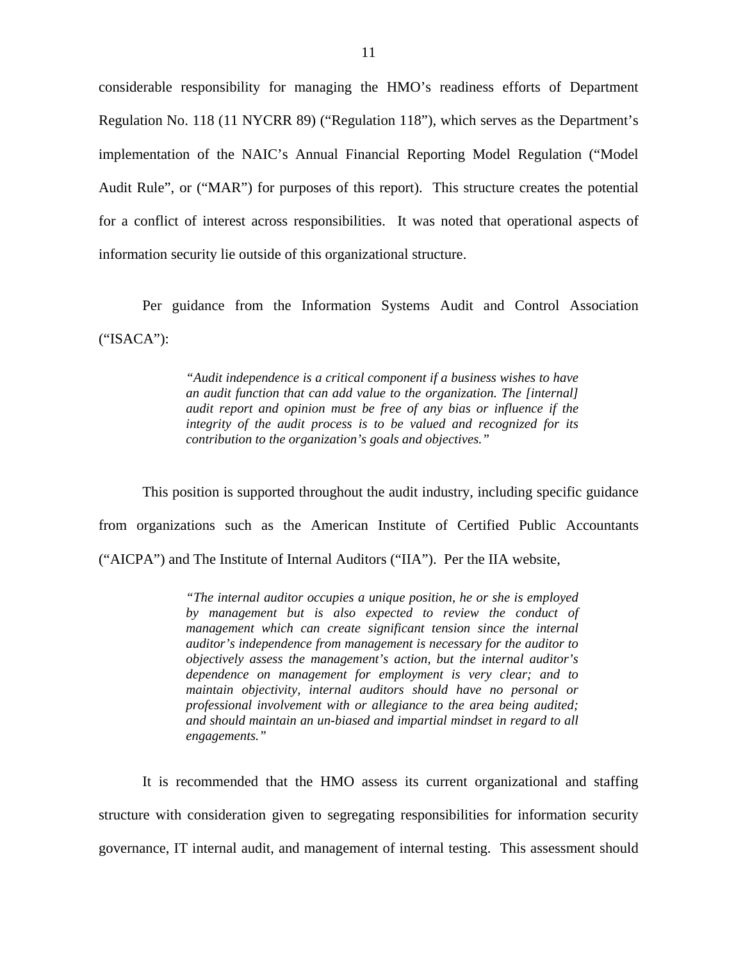considerable responsibility for managing the HMO's readiness efforts of Department Regulation No. 118 (11 NYCRR 89) ("Regulation 118"), which serves as the Department's implementation of the NAIC's Annual Financial Reporting Model Regulation ("Model Audit Rule", or ("MAR") for purposes of this report). This structure creates the potential for a conflict of interest across responsibilities. It was noted that operational aspects of information security lie outside of this organizational structure.

Per guidance from the Information Systems Audit and Control Association ("ISACA"):

> *"Audit independence is a critical component if a business wishes to have an audit function that can add value to the organization. The [internal] audit report and opinion must be free of any bias or influence if the integrity of the audit process is to be valued and recognized for its contribution to the organization's goals and objectives."*

This position is supported throughout the audit industry, including specific guidance from organizations such as the American Institute of Certified Public Accountants ("AICPA") and The Institute of Internal Auditors ("IIA"). Per the IIA website,

> *"The internal auditor occupies a unique position, he or she is employed by management but is also expected to review the conduct of management which can create significant tension since the internal auditor's independence from management is necessary for the auditor to objectively assess the management's action, but the internal auditor's dependence on management for employment is very clear; and to maintain objectivity, internal auditors should have no personal or professional involvement with or allegiance to the area being audited; and should maintain an un-biased and impartial mindset in regard to all engagements."*

It is recommended that the HMO assess its current organizational and staffing structure with consideration given to segregating responsibilities for information security governance, IT internal audit, and management of internal testing. This assessment should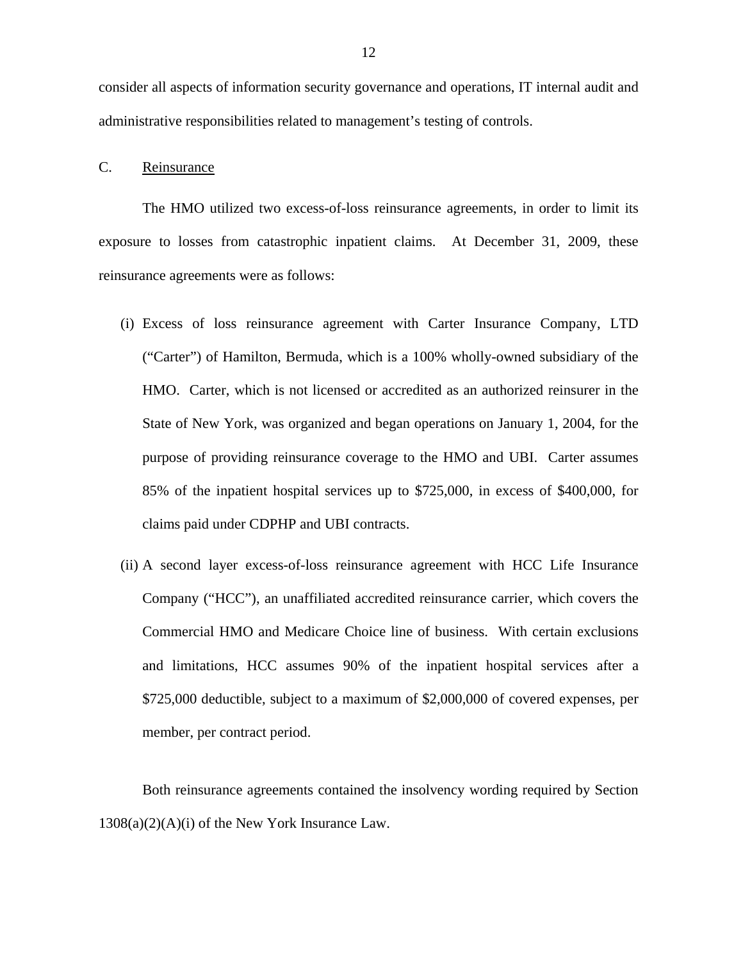<span id="page-13-0"></span>consider all aspects of information security governance and operations, IT internal audit and administrative responsibilities related to management's testing of controls.

#### C. Reinsurance

The HMO utilized two excess-of-loss reinsurance agreements, in order to limit its exposure to losses from catastrophic inpatient claims. At December 31, 2009, these reinsurance agreements were as follows:

- (i) Excess of loss reinsurance agreement with Carter Insurance Company, LTD ("Carter") of Hamilton, Bermuda, which is a 100% wholly-owned subsidiary of the HMO. Carter, which is not licensed or accredited as an authorized reinsurer in the State of New York, was organized and began operations on January 1, 2004, for the purpose of providing reinsurance coverage to the HMO and UBI. Carter assumes 85% of the inpatient hospital services up to \$725,000, in excess of \$400,000, for claims paid under CDPHP and UBI contracts.
- (ii) A second layer excess-of-loss reinsurance agreement with HCC Life Insurance Company ("HCC"), an unaffiliated accredited reinsurance carrier, which covers the Commercial HMO and Medicare Choice line of business. With certain exclusions and limitations, HCC assumes 90% of the inpatient hospital services after a \$725,000 deductible, subject to a maximum of \$2,000,000 of covered expenses, per member, per contract period.

Both reinsurance agreements contained the insolvency wording required by Section  $1308(a)(2)(A)(i)$  of the New York Insurance Law.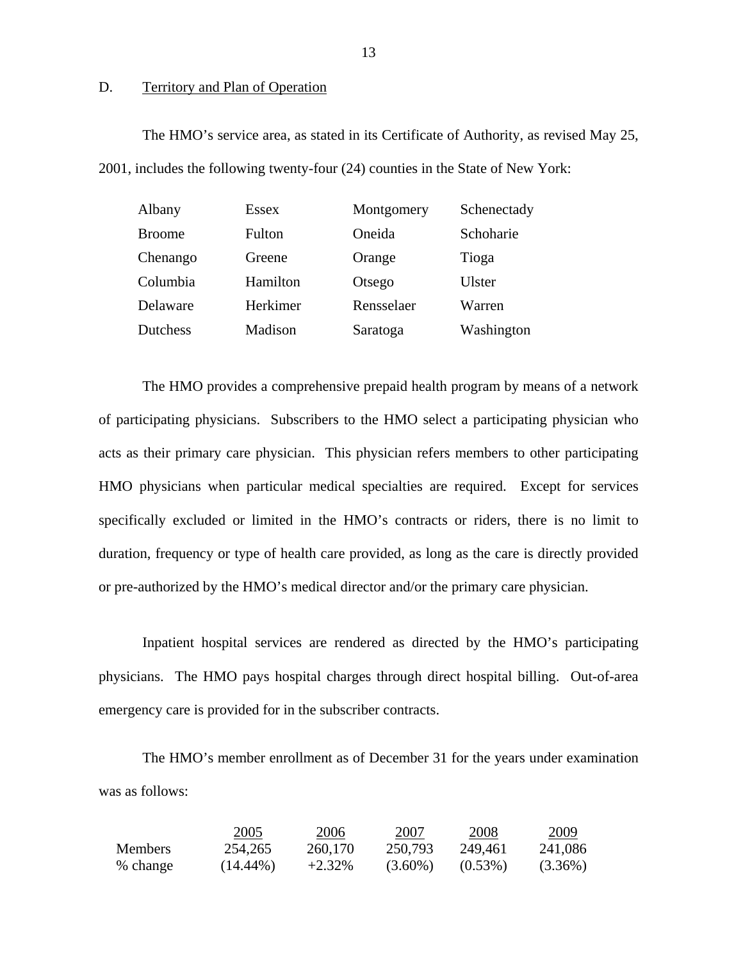#### D. Territory and Plan of Operation

The HMO's service area, as stated in its Certificate of Authority, as revised May 25, 2001, includes the following twenty-four (24) counties in the State of New York:

| Albany        | <b>Essex</b> | Montgomery | Schenectady |
|---------------|--------------|------------|-------------|
| <b>Broome</b> | Fulton       | Oneida     | Schoharie   |
| Chenango      | Greene       | Orange     | Tioga       |
| Columbia      | Hamilton     | Otsego     | Ulster      |
| Delaware      | Herkimer     | Rensselaer | Warren      |
| Dutchess      | Madison      | Saratoga   | Washington  |

The HMO provides a comprehensive prepaid health program by means of a network of participating physicians. Subscribers to the HMO select a participating physician who acts as their primary care physician. This physician refers members to other participating HMO physicians when particular medical specialties are required. Except for services specifically excluded or limited in the HMO's contracts or riders, there is no limit to duration, frequency or type of health care provided, as long as the care is directly provided or pre-authorized by the HMO's medical director and/or the primary care physician.

Inpatient hospital services are rendered as directed by the HMO's participating physicians. The HMO pays hospital charges through direct hospital billing. Out-of-area emergency care is provided for in the subscriber contracts.

The HMO's member enrollment as of December 31 for the years under examination was as follows:

|                | 2005        | 2006      | 2007       | 2008       | 2009       |
|----------------|-------------|-----------|------------|------------|------------|
| <b>Members</b> | 254,265     | 260,170   | 250,793    | 249.461    | 241,086    |
| % change       | $(14.44\%)$ | $+2.32\%$ | $(3.60\%)$ | $(0.53\%)$ | $(3.36\%)$ |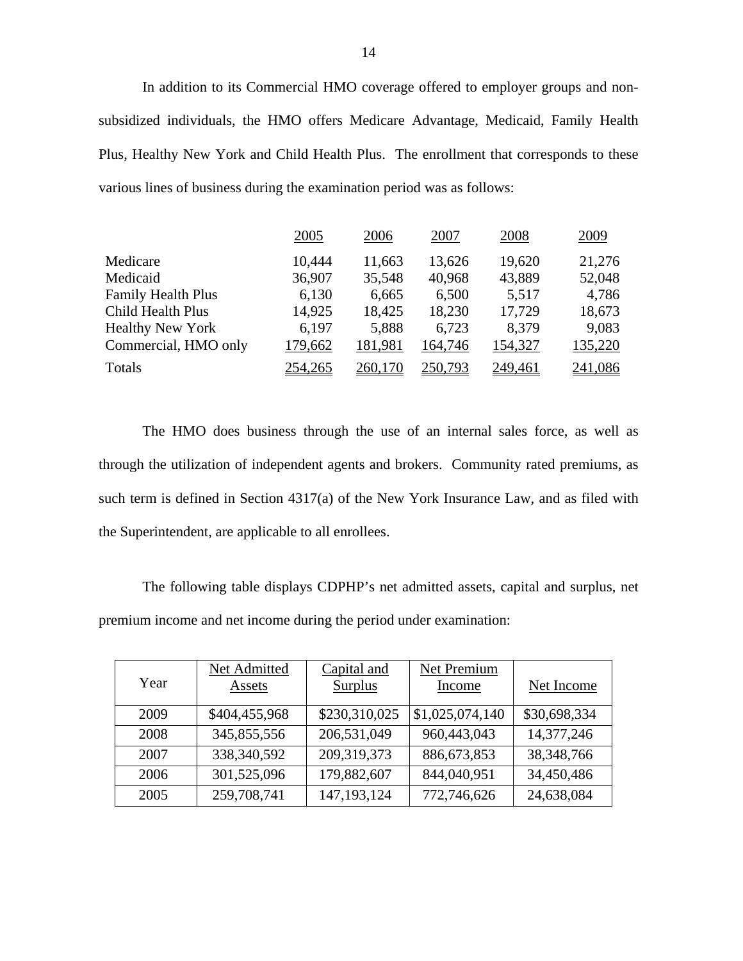In addition to its Commercial HMO coverage offered to employer groups and nonsubsidized individuals, the HMO offers Medicare Advantage, Medicaid, Family Health Plus, Healthy New York and Child Health Plus. The enrollment that corresponds to these various lines of business during the examination period was as follows:

|                         | 2005    | 2006    | 2007    | 2008    | 2009    |
|-------------------------|---------|---------|---------|---------|---------|
| Medicare                | 10,444  | 11,663  | 13,626  | 19,620  | 21,276  |
| Medicaid                | 36,907  | 35,548  | 40,968  | 43,889  | 52,048  |
| Family Health Plus      | 6,130   | 6,665   | 6,500   | 5,517   | 4,786   |
| Child Health Plus       | 14,925  | 18,425  | 18,230  | 17,729  | 18,673  |
| <b>Healthy New York</b> | 6,197   | 5,888   | 6,723   | 8,379   | 9,083   |
| Commercial, HMO only    | 179,662 | 181,981 | 164,746 | 154,327 | 135,220 |
| Totals                  | 254,265 | 260,170 | 250,793 | 249,461 | 241,086 |

the Superintendent, are applicable to all enrollees. The HMO does business through the use of an internal sales force, as well as through the utilization of independent agents and brokers. Community rated premiums, as such term is defined in Section 4317(a) of the New York Insurance Law, and as filed with

The following table displays CDPHP's net admitted assets, capital and surplus, net premium income and net income during the period under examination:

| Year | Net Admitted<br>Assets | Capital and<br><b>Surplus</b> | Net Premium<br>Income | Net Income   |
|------|------------------------|-------------------------------|-----------------------|--------------|
| 2009 | \$404,455,968          | \$230,310,025                 | \$1,025,074,140       | \$30,698,334 |
| 2008 | 345,855,556            | 206,531,049                   | 960,443,043           | 14,377,246   |
| 2007 | 338, 340, 592          | 209,319,373                   | 886, 673, 853         | 38, 348, 766 |
| 2006 | 301,525,096            | 179,882,607                   | 844,040,951           | 34,450,486   |
| 2005 | 259,708,741            | 147, 193, 124                 | 772,746,626           | 24,638,084   |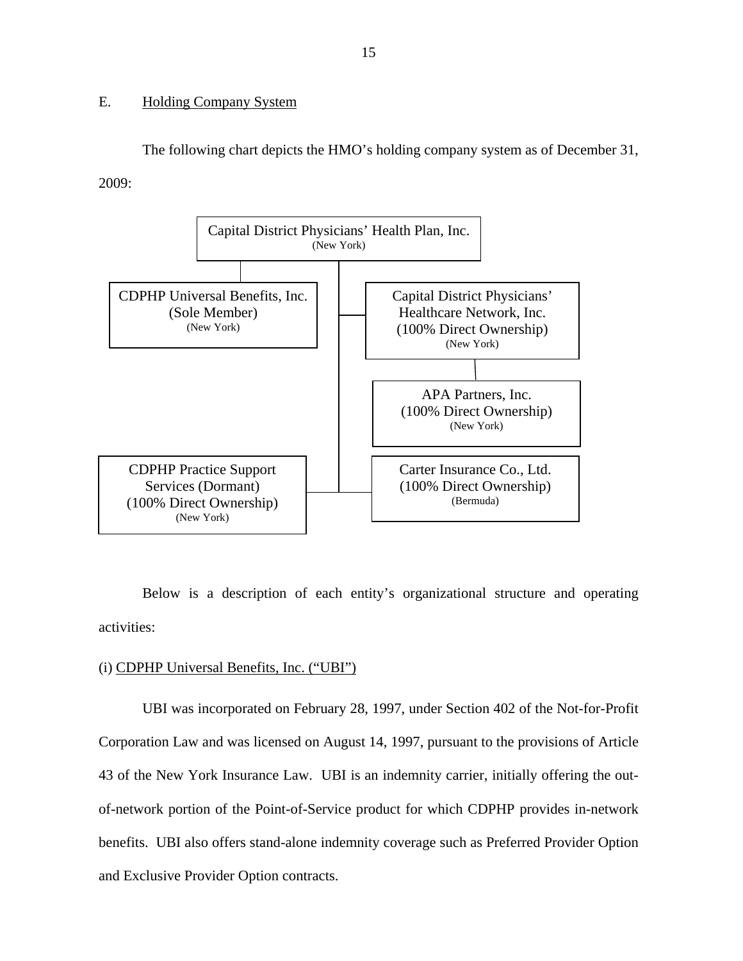#### <span id="page-16-0"></span>E. Holding Company System

The following chart depicts the HMO's holding company system as of December 31, 2009:



Below is a description of each entity's organizational structure and operating activities:

#### (i) CDPHP Universal Benefits, Inc. ("UBI")

UBI was incorporated on February 28, 1997, under Section 402 of the Not-for-Profit Corporation Law and was licensed on August 14, 1997, pursuant to the provisions of Article 43 of the New York Insurance Law. UBI is an indemnity carrier, initially offering the outof-network portion of the Point-of-Service product for which CDPHP provides in-network benefits. UBI also offers stand-alone indemnity coverage such as Preferred Provider Option and Exclusive Provider Option contracts.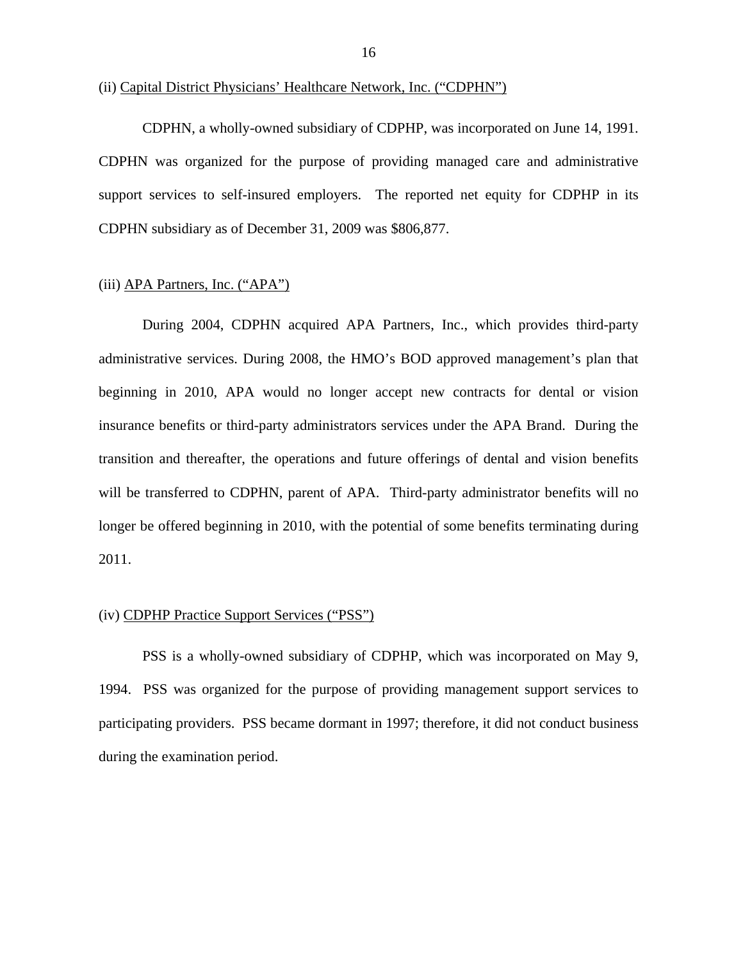CDPHN, a wholly-owned subsidiary of CDPHP, was incorporated on June 14, 1991. CDPHN was organized for the purpose of providing managed care and administrative support services to self-insured employers. The reported net equity for CDPHP in its CDPHN subsidiary as of December 31, 2009 was \$806,877.

#### (iii) APA Partners, Inc. ("APA")

During 2004, CDPHN acquired APA Partners, Inc., which provides third-party administrative services. During 2008, the HMO's BOD approved management's plan that beginning in 2010, APA would no longer accept new contracts for dental or vision insurance benefits or third-party administrators services under the APA Brand. During the transition and thereafter, the operations and future offerings of dental and vision benefits will be transferred to CDPHN, parent of APA. Third-party administrator benefits will no longer be offered beginning in 2010, with the potential of some benefits terminating during 2011.

#### (iv) CDPHP Practice Support Services ("PSS")

PSS is a wholly-owned subsidiary of CDPHP, which was incorporated on May 9, 1994. PSS was organized for the purpose of providing management support services to participating providers. PSS became dormant in 1997; therefore, it did not conduct business during the examination period.

<sup>(</sup>ii) Capital District Physicians' Healthcare Network, Inc. ("CDPHN")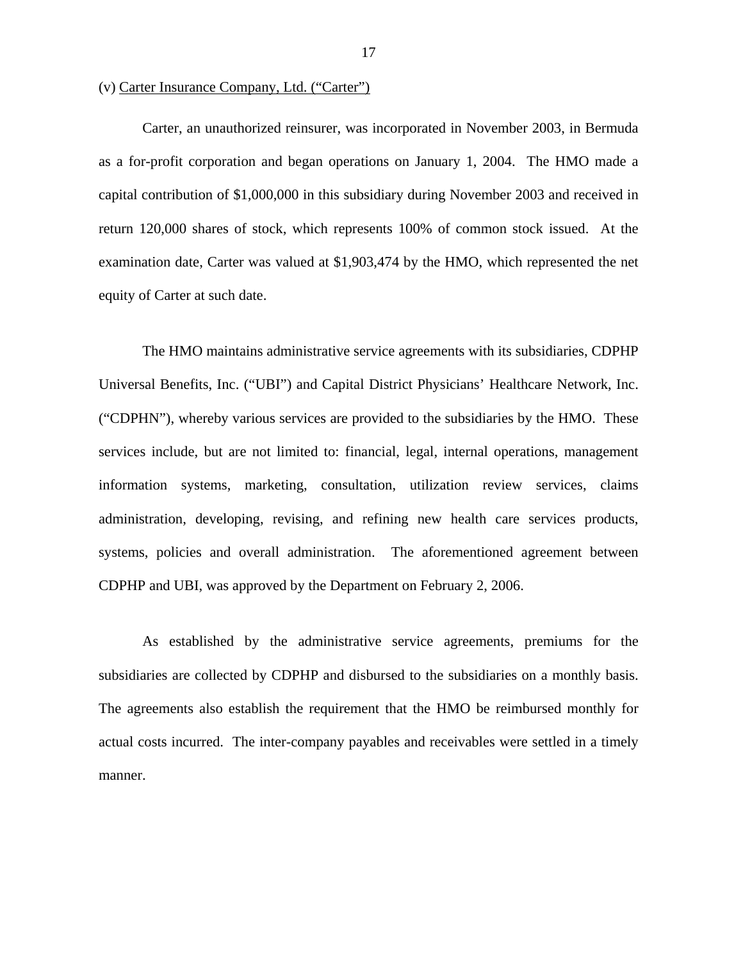#### (v) Carter Insurance Company, Ltd. ("Carter")

Carter, an unauthorized reinsurer, was incorporated in November 2003, in Bermuda as a for-profit corporation and began operations on January 1, 2004. The HMO made a capital contribution of \$1,000,000 in this subsidiary during November 2003 and received in return 120,000 shares of stock, which represents 100% of common stock issued. At the examination date, Carter was valued at \$1,903,474 by the HMO, which represented the net equity of Carter at such date.

The HMO maintains administrative service agreements with its subsidiaries, CDPHP Universal Benefits, Inc. ("UBI") and Capital District Physicians' Healthcare Network, Inc. ("CDPHN"), whereby various services are provided to the subsidiaries by the HMO. These services include, but are not limited to: financial, legal, internal operations, management information systems, marketing, consultation, utilization review services, claims administration, developing, revising, and refining new health care services products, systems, policies and overall administration. The aforementioned agreement between CDPHP and UBI, was approved by the Department on February 2, 2006.

As established by the administrative service agreements, premiums for the subsidiaries are collected by CDPHP and disbursed to the subsidiaries on a monthly basis. The agreements also establish the requirement that the HMO be reimbursed monthly for actual costs incurred. The inter-company payables and receivables were settled in a timely manner.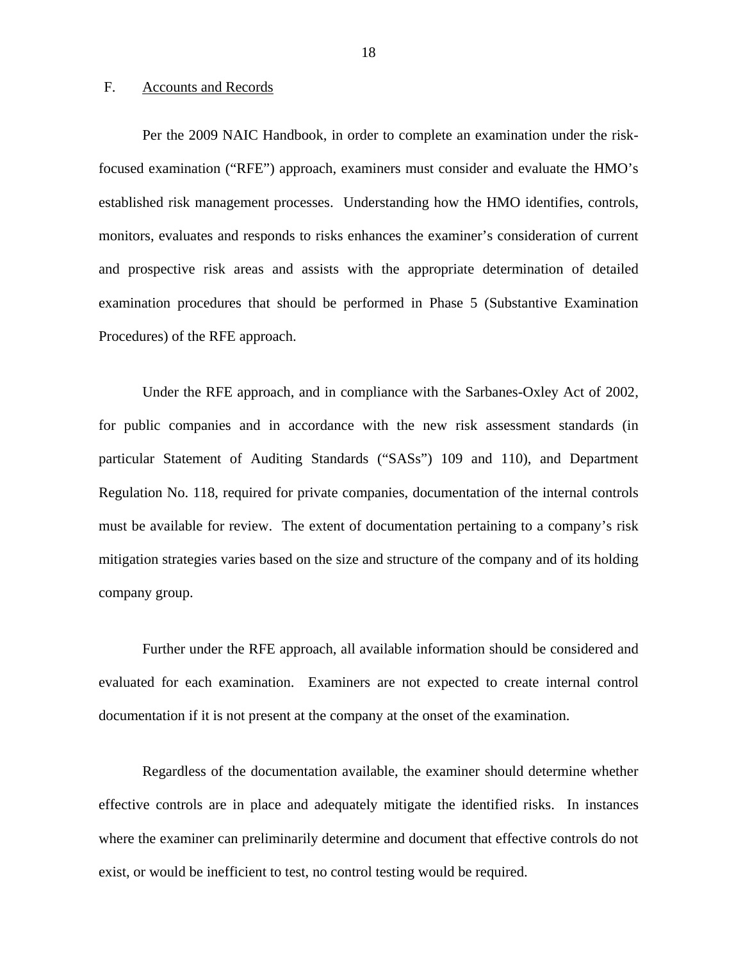#### <span id="page-19-0"></span>F. Accounts and Records

Per the 2009 NAIC Handbook, in order to complete an examination under the riskfocused examination ("RFE") approach, examiners must consider and evaluate the HMO's established risk management processes. Understanding how the HMO identifies, controls, monitors, evaluates and responds to risks enhances the examiner's consideration of current and prospective risk areas and assists with the appropriate determination of detailed examination procedures that should be performed in Phase 5 (Substantive Examination Procedures) of the RFE approach.

Under the RFE approach, and in compliance with the Sarbanes-Oxley Act of 2002, for public companies and in accordance with the new risk assessment standards (in particular Statement of Auditing Standards ("SASs") 109 and 110), and Department Regulation No. 118, required for private companies, documentation of the internal controls must be available for review. The extent of documentation pertaining to a company's risk mitigation strategies varies based on the size and structure of the company and of its holding company group.

Further under the RFE approach, all available information should be considered and evaluated for each examination. Examiners are not expected to create internal control documentation if it is not present at the company at the onset of the examination.

Regardless of the documentation available, the examiner should determine whether effective controls are in place and adequately mitigate the identified risks. In instances where the examiner can preliminarily determine and document that effective controls do not exist, or would be inefficient to test, no control testing would be required.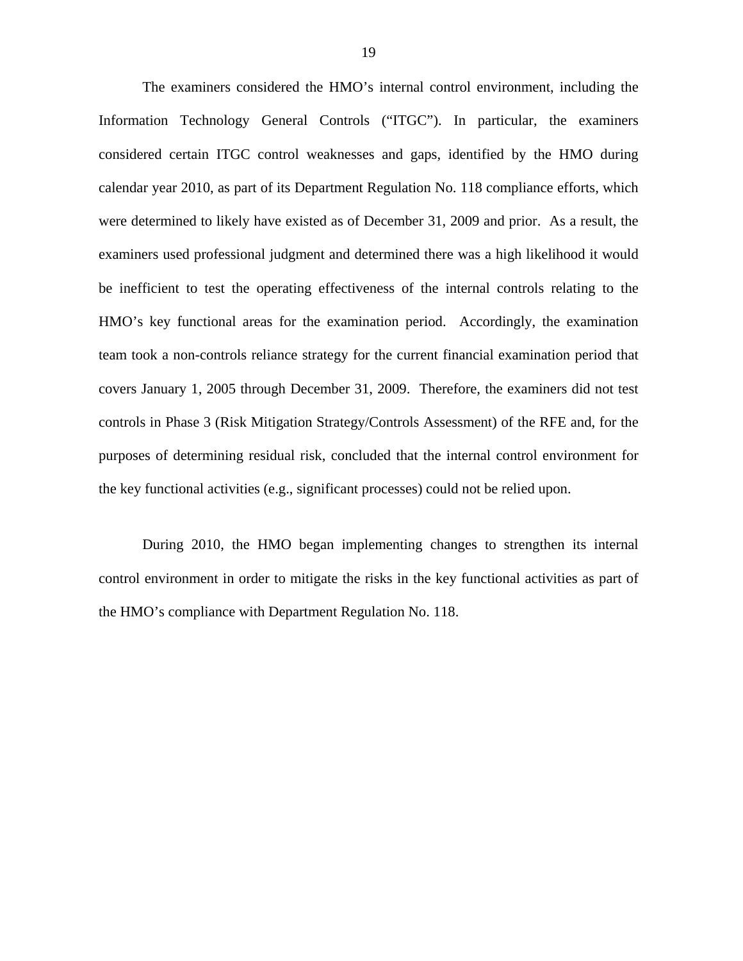The examiners considered the HMO's internal control environment, including the Information Technology General Controls ("ITGC"). In particular, the examiners considered certain ITGC control weaknesses and gaps, identified by the HMO during calendar year 2010, as part of its Department Regulation No. 118 compliance efforts, which were determined to likely have existed as of December 31, 2009 and prior. As a result, the examiners used professional judgment and determined there was a high likelihood it would be inefficient to test the operating effectiveness of the internal controls relating to the HMO's key functional areas for the examination period. Accordingly, the examination team took a non-controls reliance strategy for the current financial examination period that covers January 1, 2005 through December 31, 2009. Therefore, the examiners did not test controls in Phase 3 (Risk Mitigation Strategy/Controls Assessment) of the RFE and, for the purposes of determining residual risk, concluded that the internal control environment for the key functional activities (e.g., significant processes) could not be relied upon.

During 2010, the HMO began implementing changes to strengthen its internal control environment in order to mitigate the risks in the key functional activities as part of the HMO's compliance with Department Regulation No. 118.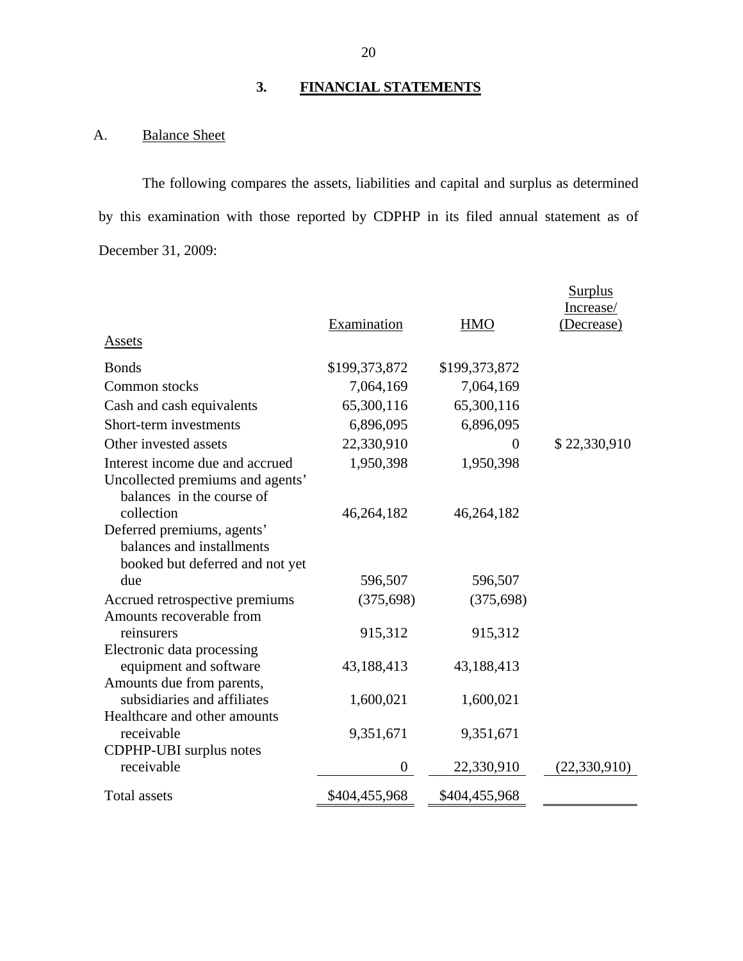## **3. FINANCIAL STATEMENTS**

## A. Balance Sheet

The following compares the assets, liabilities and capital and surplus as determined by this examination with those reported by CDPHP in its filed annual statement as of December 31, 2009:

|                                                                                            |                |               | <b>Surplus</b><br>Increase/ |
|--------------------------------------------------------------------------------------------|----------------|---------------|-----------------------------|
| <b>Assets</b>                                                                              | Examination    | <b>HMO</b>    | Decrease)                   |
|                                                                                            |                |               |                             |
| <b>Bonds</b>                                                                               | \$199,373,872  | \$199,373,872 |                             |
| Common stocks                                                                              | 7,064,169      | 7,064,169     |                             |
| Cash and cash equivalents                                                                  | 65,300,116     | 65,300,116    |                             |
| Short-term investments                                                                     | 6,896,095      | 6,896,095     |                             |
| Other invested assets                                                                      | 22,330,910     | $\Omega$      | \$22,330,910                |
| Interest income due and accrued                                                            | 1,950,398      | 1,950,398     |                             |
| Uncollected premiums and agents'<br>balances in the course of                              |                |               |                             |
| collection                                                                                 | 46,264,182     | 46,264,182    |                             |
| Deferred premiums, agents'<br>balances and installments<br>booked but deferred and not yet |                |               |                             |
| due                                                                                        | 596,507        | 596,507       |                             |
| Accrued retrospective premiums<br>Amounts recoverable from                                 | (375, 698)     | (375, 698)    |                             |
| reinsurers                                                                                 | 915,312        | 915,312       |                             |
| Electronic data processing                                                                 |                |               |                             |
| equipment and software                                                                     | 43,188,413     | 43,188,413    |                             |
| Amounts due from parents,                                                                  |                |               |                             |
| subsidiaries and affiliates                                                                | 1,600,021      | 1,600,021     |                             |
| Healthcare and other amounts<br>receivable                                                 | 9,351,671      | 9,351,671     |                             |
| CDPHP-UBI surplus notes<br>receivable                                                      | $\overline{0}$ | 22,330,910    | (22, 330, 910)              |
| <b>Total assets</b>                                                                        | \$404,455,968  | \$404,455,968 |                             |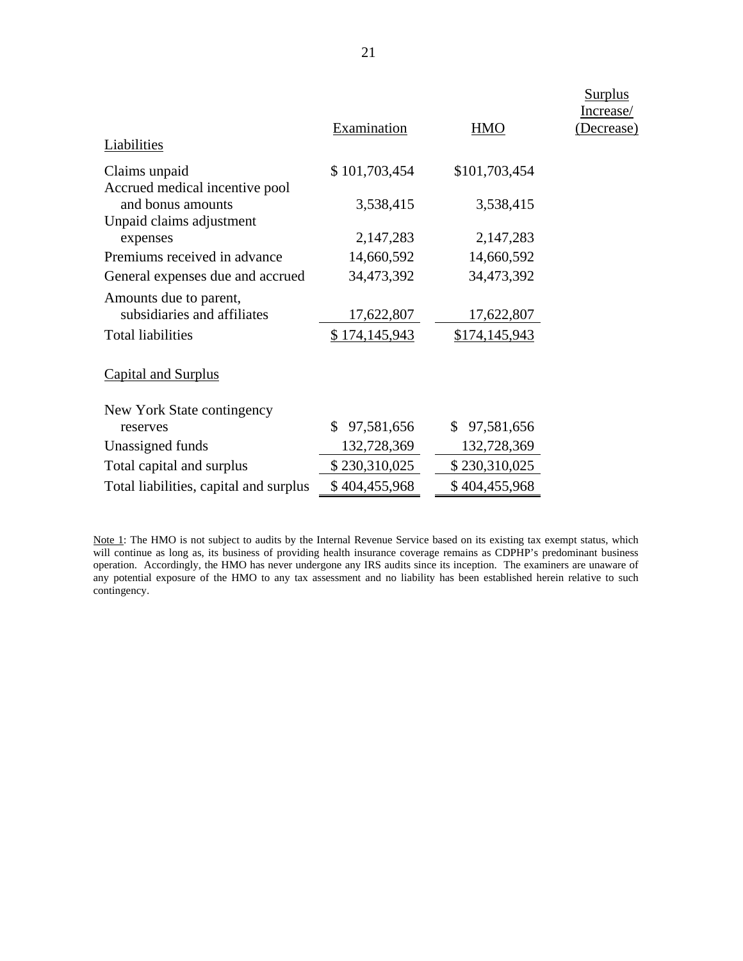| Liabilities                                           | Examination      | <b>HMO</b>    | <b>Surplus</b><br>Increase/<br>(Decrease) |
|-------------------------------------------------------|------------------|---------------|-------------------------------------------|
| Claims unpaid<br>Accrued medical incentive pool       | \$101,703,454    | \$101,703,454 |                                           |
| and bonus amounts<br>Unpaid claims adjustment         | 3,538,415        | 3,538,415     |                                           |
| expenses                                              | 2,147,283        | 2,147,283     |                                           |
| Premiums received in advance                          | 14,660,592       | 14,660,592    |                                           |
| General expenses due and accrued                      | 34,473,392       | 34,473,392    |                                           |
| Amounts due to parent,<br>subsidiaries and affiliates | 17,622,807       | 17,622,807    |                                           |
| <b>Total liabilities</b>                              | \$174,145,943    | \$174,145,943 |                                           |
| <b>Capital and Surplus</b>                            |                  |               |                                           |
| New York State contingency                            |                  |               |                                           |
| reserves                                              | 97,581,656<br>S. | \$97,581,656  |                                           |
| Unassigned funds                                      | 132,728,369      | 132,728,369   |                                           |
| Total capital and surplus                             | \$230,310,025    | \$230,310,025 |                                           |
| Total liabilities, capital and surplus                | \$404,455,968    | \$404,455,968 |                                           |
|                                                       |                  |               |                                           |

 contingency. Note 1: The HMO is not subject to audits by the Internal Revenue Service based on its existing tax exempt status, which will continue as long as, its business of providing health insurance coverage remains as CDPHP's predominant business operation. Accordingly, the HMO has never undergone any IRS audits since its inception. The examiners are unaware of any potential exposure of the HMO to any tax assessment and no liability has been established herein relative to such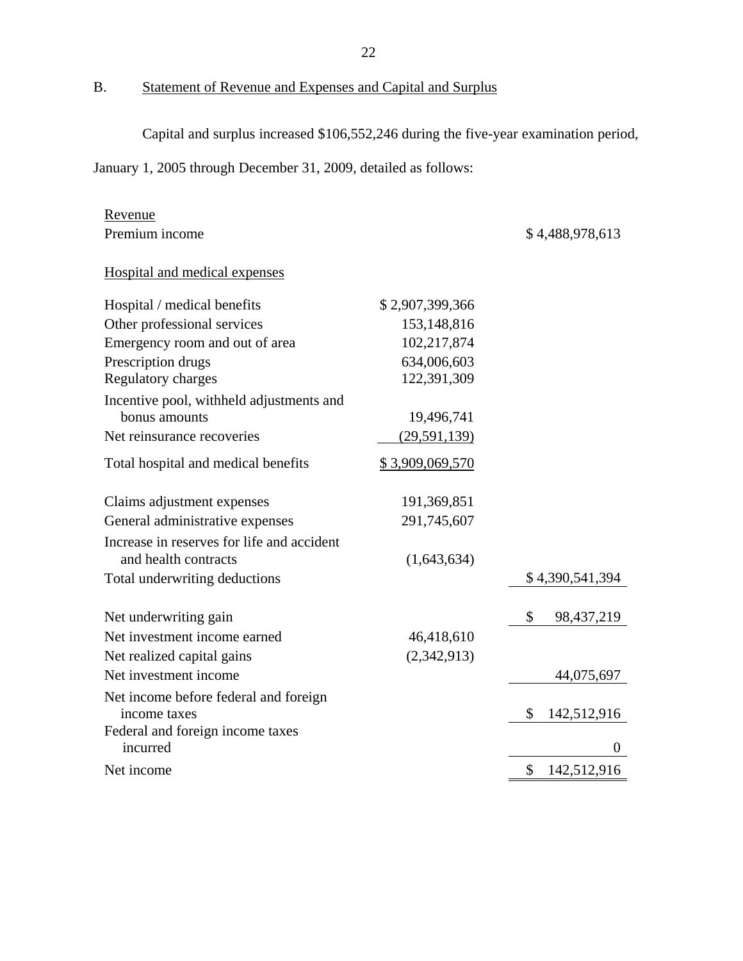B. Statement of Revenue and Expenses and Capital and Surplus

Capital and surplus increased \$106,552,246 during the five-year examination period,

January 1, 2005 through December 31, 2009, detailed as follows:

| Revenue                                               |                        |                    |
|-------------------------------------------------------|------------------------|--------------------|
| Premium income                                        |                        | \$4,488,978,613    |
| Hospital and medical expenses                         |                        |                    |
| Hospital / medical benefits                           | \$2,907,399,366        |                    |
| Other professional services                           | 153,148,816            |                    |
| Emergency room and out of area                        | 102,217,874            |                    |
| Prescription drugs                                    | 634,006,603            |                    |
| Regulatory charges                                    | 122,391,309            |                    |
| Incentive pool, withheld adjustments and              |                        |                    |
| bonus amounts                                         | 19,496,741             |                    |
| Net reinsurance recoveries                            | (29, 591, 139)         |                    |
| Total hospital and medical benefits                   | <u>\$3,909,069,570</u> |                    |
| Claims adjustment expenses                            | 191,369,851            |                    |
| General administrative expenses                       | 291,745,607            |                    |
| Increase in reserves for life and accident            |                        |                    |
| and health contracts                                  | (1,643,634)            |                    |
| Total underwriting deductions                         |                        | \$4,390,541,394    |
| Net underwriting gain                                 |                        | \$<br>98, 437, 219 |
| Net investment income earned                          | 46,418,610             |                    |
| Net realized capital gains                            | (2,342,913)            |                    |
| Net investment income                                 |                        | 44,075,697         |
| Net income before federal and foreign<br>income taxes |                        | \$<br>142,512,916  |
| Federal and foreign income taxes<br>incurred          |                        | $\theta$           |
| Net income                                            |                        | \$<br>142,512,916  |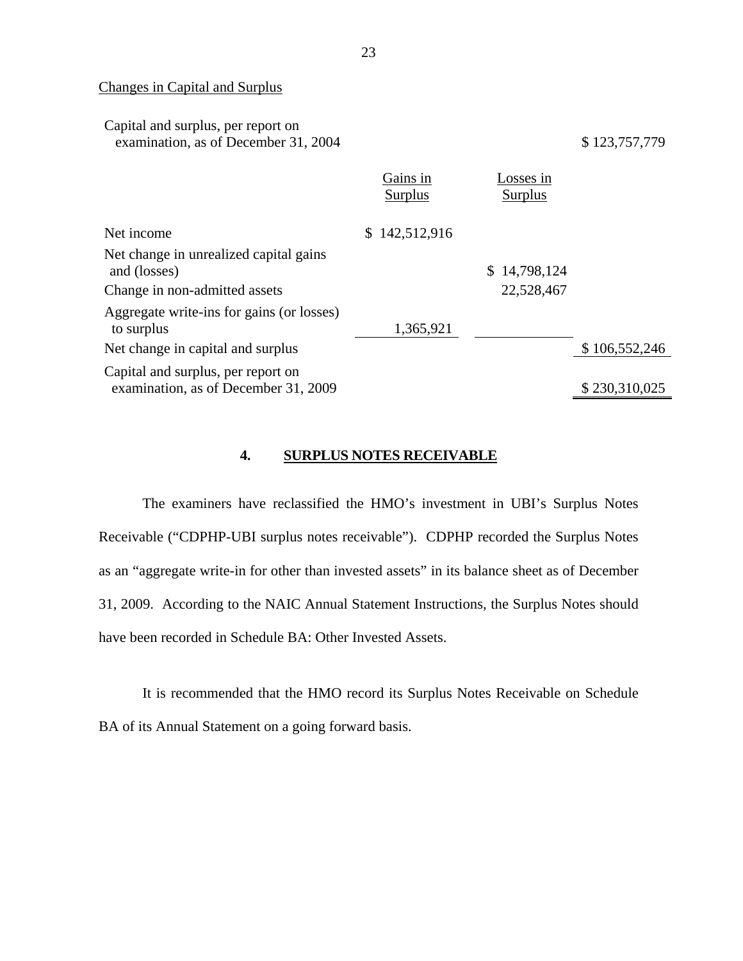Changes in Capital and Surplus

| Capital and surplus, per report on   |  |
|--------------------------------------|--|
| examination, as of December 31, 2004 |  |

examination, as of December 31, 2004 \$ 123,757,779

|                                           | Gains in       | Losses in      |               |
|-------------------------------------------|----------------|----------------|---------------|
|                                           | <b>Surplus</b> | <b>Surplus</b> |               |
|                                           |                |                |               |
| Net income                                | \$142,512,916  |                |               |
| Net change in unrealized capital gains    |                |                |               |
| and (losses)                              |                | \$14,798,124   |               |
| Change in non-admitted assets             |                | 22,528,467     |               |
| Aggregate write-ins for gains (or losses) |                |                |               |
| to surplus                                | 1,365,921      |                |               |
| Net change in capital and surplus         |                |                | \$106,552,246 |
| Capital and surplus, per report on        |                |                |               |
| examination, as of December 31, 2009      |                |                | \$230,310,025 |

#### **4. SURPLUS NOTES RECEIVABLE**

The examiners have reclassified the HMO's investment in UBI's Surplus Notes Receivable ("CDPHP-UBI surplus notes receivable"). CDPHP recorded the Surplus Notes as an "aggregate write-in for other than invested assets" in its balance sheet as of December 31, 2009. According to the NAIC Annual Statement Instructions, the Surplus Notes should have been recorded in Schedule BA: Other Invested Assets.

It is recommended that the HMO record its Surplus Notes Receivable on Schedule BA of its Annual Statement on a going forward basis.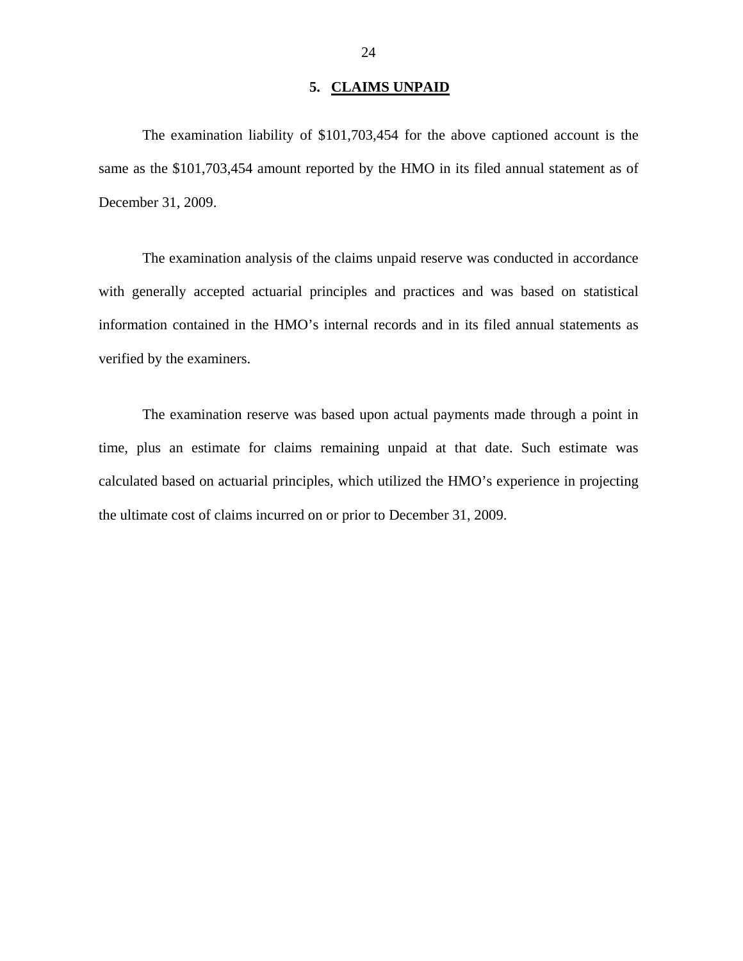#### **5. CLAIMS UNPAID**

<span id="page-25-0"></span> The examination liability of \$101,703,454 for the above captioned account is the same as the \$101,703,454 amount reported by the HMO in its filed annual statement as of December 31, 2009.

The examination analysis of the claims unpaid reserve was conducted in accordance with generally accepted actuarial principles and practices and was based on statistical information contained in the HMO's internal records and in its filed annual statements as verified by the examiners.

The examination reserve was based upon actual payments made through a point in time, plus an estimate for claims remaining unpaid at that date. Such estimate was calculated based on actuarial principles, which utilized the HMO's experience in projecting the ultimate cost of claims incurred on or prior to December 31, 2009.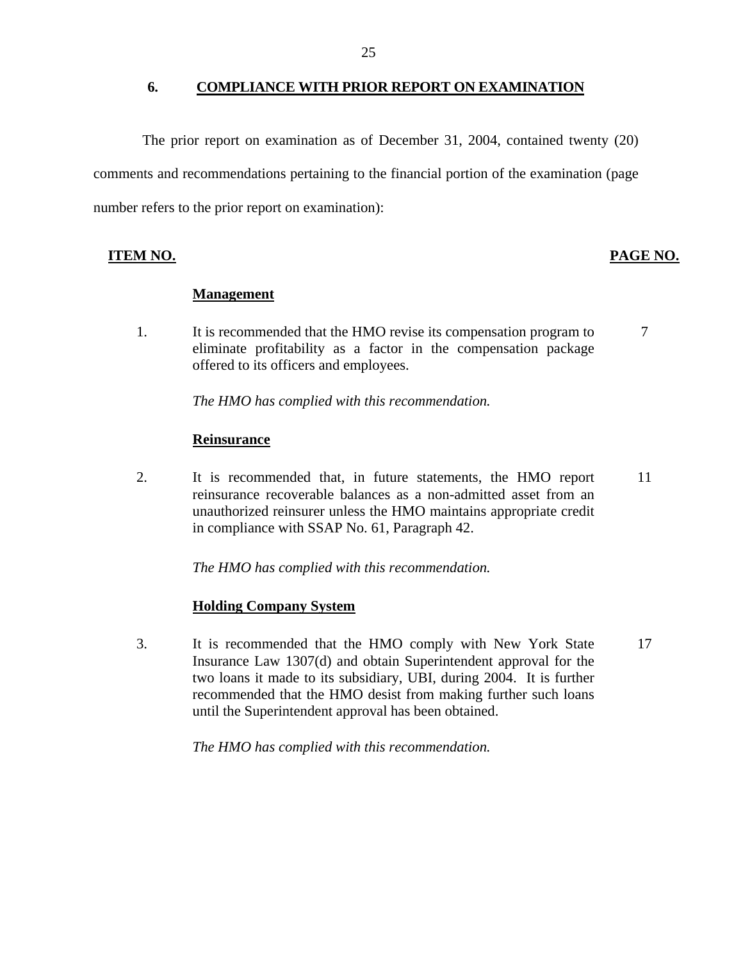#### **6. COMPLIANCE WITH PRIOR REPORT ON EXAMINATION**

The prior report on examination as of December 31, 2004, contained twenty (20) comments and recommendations pertaining to the financial portion of the examination (page number refers to the prior report on examination):

#### **ITEM NO.**

#### **PAGE NO.**

#### **Management**

1. It is recommended that the HMO revise its compensation program to eliminate profitability as a factor in the compensation package offered to its officers and employees. 7

*The HMO has complied with this recommendation.* 

#### **Reinsurance**

2. It is recommended that, in future statements, the HMO report reinsurance recoverable balances as a non-admitted asset from an unauthorized reinsurer unless the HMO maintains appropriate credit in compliance with SSAP No. 61, Paragraph 42. 11

*The HMO has complied with this recommendation.* 

#### **Holding Company System**

3. It is recommended that the HMO comply with New York State Insurance Law 1307(d) and obtain Superintendent approval for the two loans it made to its subsidiary, UBI, during 2004. It is further recommended that the HMO desist from making further such loans until the Superintendent approval has been obtained. 17

*The HMO has complied with this recommendation.*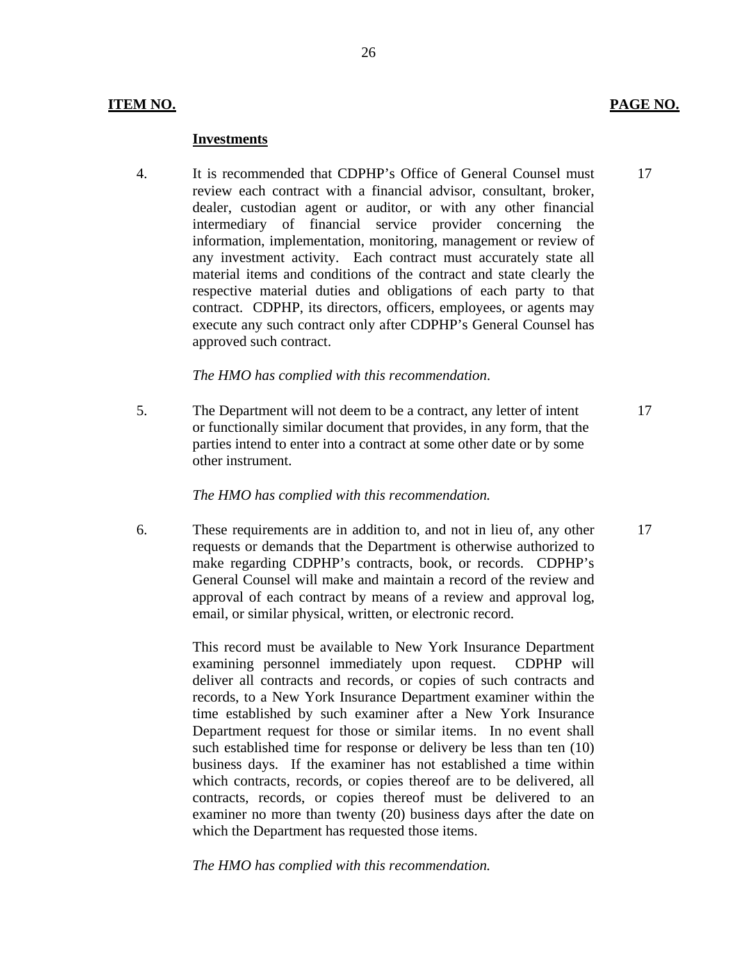#### **ITEM NO. PAGE NO.**

#### **Investments**

4. It is recommended that CDPHP's Office of General Counsel must 17 review each contract with a financial advisor, consultant, broker, dealer, custodian agent or auditor, or with any other financial intermediary of financial service provider concerning the information, implementation, monitoring, management or review of any investment activity. Each contract must accurately state all material items and conditions of the contract and state clearly the respective material duties and obligations of each party to that contract. CDPHP, its directors, officers, employees, or agents may execute any such contract only after CDPHP's General Counsel has approved such contract.

#### *The HMO has complied with this recommendation*.

5. The Department will not deem to be a contract, any letter of intent 17 or functionally similar document that provides, in any form, that the parties intend to enter into a contract at some other date or by some other instrument.

#### *The HMO has complied with this recommendation.*

6. These requirements are in addition to, and not in lieu of, any other 17 requests or demands that the Department is otherwise authorized to make regarding CDPHP's contracts, book, or records. CDPHP's General Counsel will make and maintain a record of the review and approval of each contract by means of a review and approval log, email, or similar physical, written, or electronic record.

> This record must be available to New York Insurance Department examining personnel immediately upon request. CDPHP will deliver all contracts and records, or copies of such contracts and records, to a New York Insurance Department examiner within the time established by such examiner after a New York Insurance Department request for those or similar items. In no event shall such established time for response or delivery be less than ten (10) business days. If the examiner has not established a time within which contracts, records, or copies thereof are to be delivered, all contracts, records, or copies thereof must be delivered to an examiner no more than twenty (20) business days after the date on which the Department has requested those items.

*The HMO has complied with this recommendation.*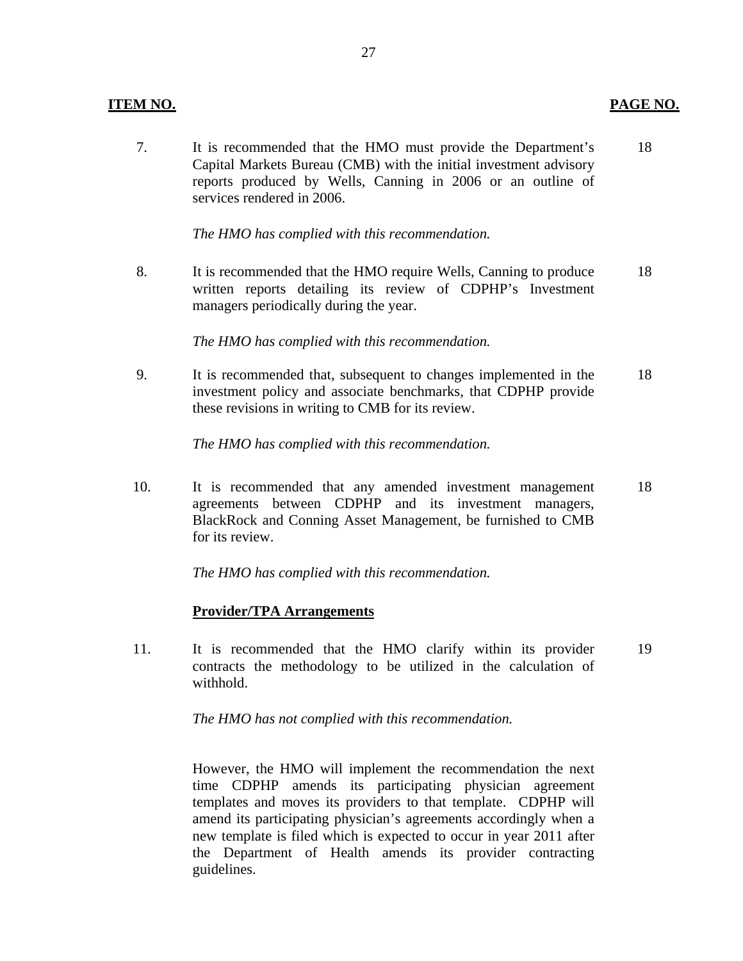#### **ITEM NO.**

7. It is recommended that the HMO must provide the Department's 18 Capital Markets Bureau (CMB) with the initial investment advisory reports produced by Wells, Canning in 2006 or an outline of services rendered in 2006.

**PAGE NO.** 

*The HMO has complied with this recommendation.* 

8. It is recommended that the HMO require Wells, Canning to produce 18 written reports detailing its review of CDPHP's Investment managers periodically during the year.

*The HMO has complied with this recommendation.* 

9. It is recommended that, subsequent to changes implemented in the 18 investment policy and associate benchmarks, that CDPHP provide these revisions in writing to CMB for its review.

*The HMO has complied with this recommendation.* 

10. It is recommended that any amended investment management 18 agreements between CDPHP and its investment managers, BlackRock and Conning Asset Management, be furnished to CMB for its review.

*The HMO has complied with this recommendation.* 

#### **Provider/TPA Arrangements**

11. It is recommended that the HMO clarify within its provider 19 contracts the methodology to be utilized in the calculation of withhold.

*The HMO has not complied with this recommendation.* 

However, the HMO will implement the recommendation the next time CDPHP amends its participating physician agreement templates and moves its providers to that template. CDPHP will amend its participating physician's agreements accordingly when a new template is filed which is expected to occur in year 2011 after the Department of Health amends its provider contracting guidelines.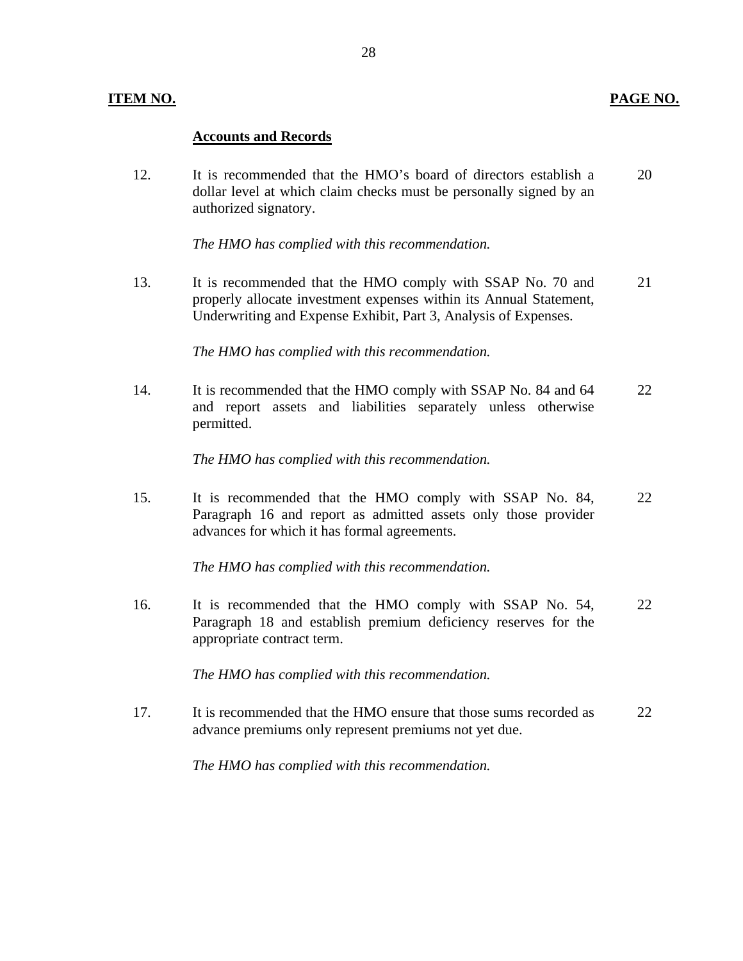#### **ITEM NO. PAGE NO.**

#### **Accounts and Records**

12. It is recommended that the HMO's board of directors establish a 20 dollar level at which claim checks must be personally signed by an authorized signatory.

*The HMO has complied with this recommendation.* 

13. It is recommended that the HMO comply with SSAP No. 70 and 21 properly allocate investment expenses within its Annual Statement, Underwriting and Expense Exhibit, Part 3, Analysis of Expenses.

*The HMO has complied with this recommendation.* 

14. It is recommended that the HMO comply with SSAP No. 84 and 64 22 and report assets and liabilities separately unless otherwise permitted.

*The HMO has complied with this recommendation.* 

15. It is recommended that the HMO comply with SSAP No. 84, 22 Paragraph 16 and report as admitted assets only those provider advances for which it has formal agreements.

*The HMO has complied with this recommendation.* 

16. It is recommended that the HMO comply with SSAP No. 54, 22 Paragraph 18 and establish premium deficiency reserves for the appropriate contract term.

*The HMO has complied with this recommendation.* 

17. It is recommended that the HMO ensure that those sums recorded as 22 advance premiums only represent premiums not yet due.

*The HMO has complied with this recommendation.*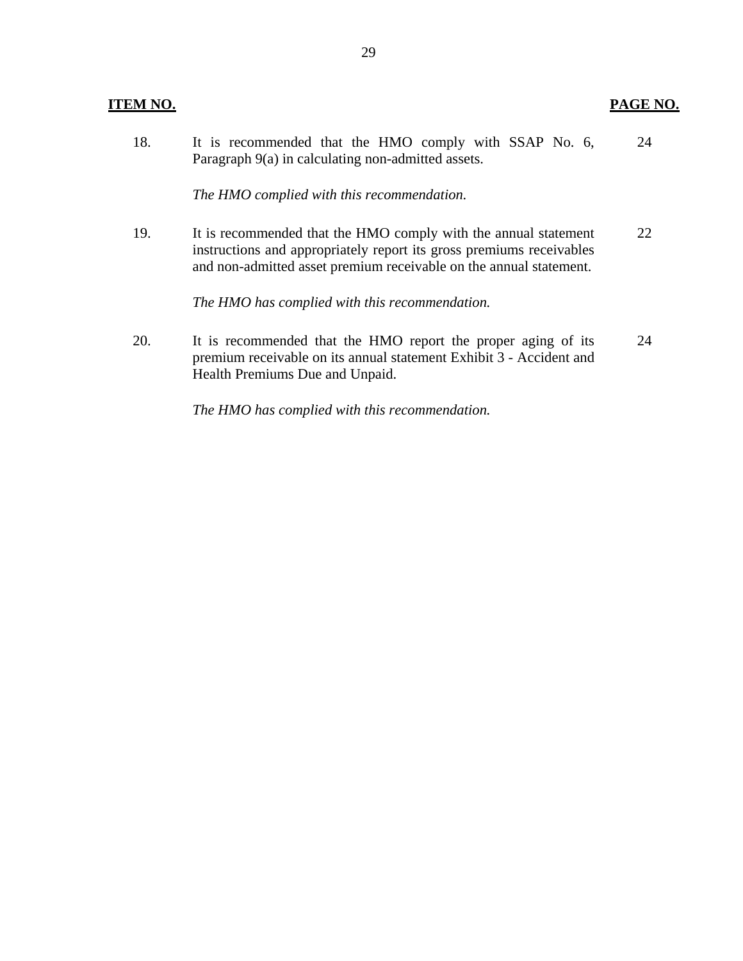| Л<br>ш<br>L |
|-------------|
|             |

| 18. |                                                    | It is recommended that the HMO comply with SSAP No. 6, |  |  |  |  |  |  |  |  | 24 |
|-----|----------------------------------------------------|--------------------------------------------------------|--|--|--|--|--|--|--|--|----|
|     | Paragraph 9(a) in calculating non-admitted assets. |                                                        |  |  |  |  |  |  |  |  |    |

*The HMO complied with this recommendation.* 

19. It is recommended that the HMO comply with the annual statement 22 instructions and appropriately report its gross premiums receivables and non-admitted asset premium receivable on the annual statement.

*The HMO has complied with this recommendation.* 

20. It is recommended that the HMO report the proper aging of its 24 premium receivable on its annual statement Exhibit 3 - Accident and Health Premiums Due and Unpaid.

*The HMO has complied with this recommendation.*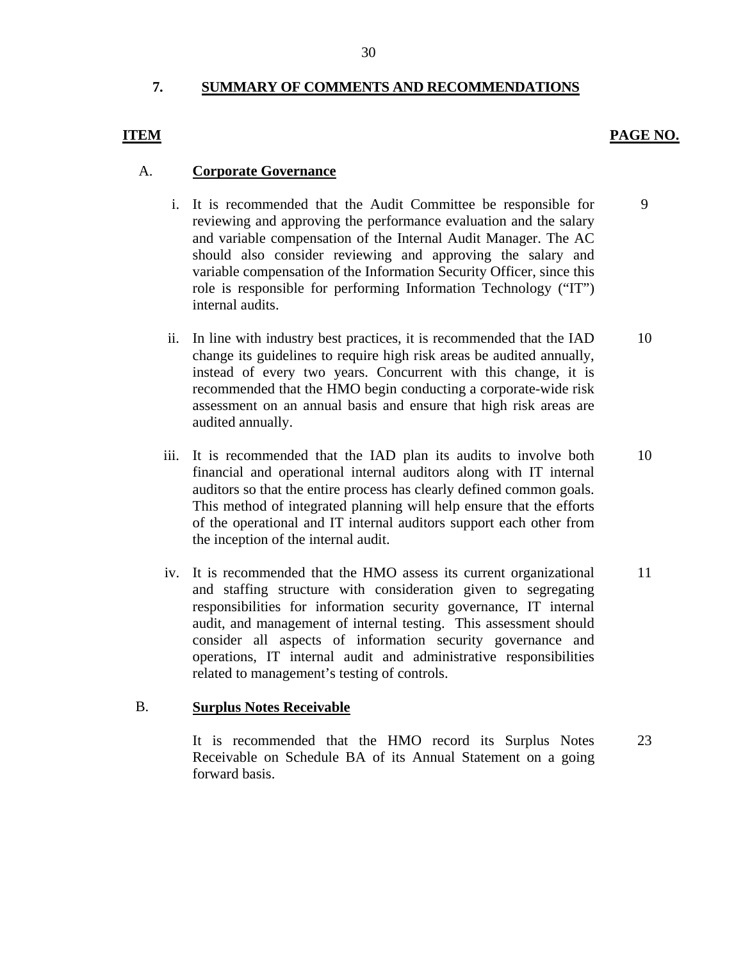### **7. SUMMARY OF COMMENTS AND RECOMMENDATIONS**

#### PAGE NO.

## **ITEM**

#### A. **Corporate Governance**

- i. It is recommended that the Audit Committee be responsible for reviewing and approving the performance evaluation and the salary and variable compensation of the Internal Audit Manager. The AC should also consider reviewing and approving the salary and variable compensation of the Information Security Officer, since this role is responsible for performing Information Technology ("IT") internal audits. 9
- ii. In line with industry best practices, it is recommended that the IAD change its guidelines to require high risk areas be audited annually, instead of every two years. Concurrent with this change, it is recommended that the HMO begin conducting a corporate-wide risk assessment on an annual basis and ensure that high risk areas are audited annually. 10
- iii. It is recommended that the IAD plan its audits to involve both financial and operational internal auditors along with IT internal auditors so that the entire process has clearly defined common goals. This method of integrated planning will help ensure that the efforts of the operational and IT internal auditors support each other from the inception of the internal audit. 10
- iv. It is recommended that the HMO assess its current organizational and staffing structure with consideration given to segregating responsibilities for information security governance, IT internal audit, and management of internal testing. This assessment should consider all aspects of information security governance and operations, IT internal audit and administrative responsibilities related to management's testing of controls. 11

#### B. **Surplus Notes Receivable**

It is recommended that the HMO record its Surplus Notes Receivable on Schedule BA of its Annual Statement on a going forward basis. 23